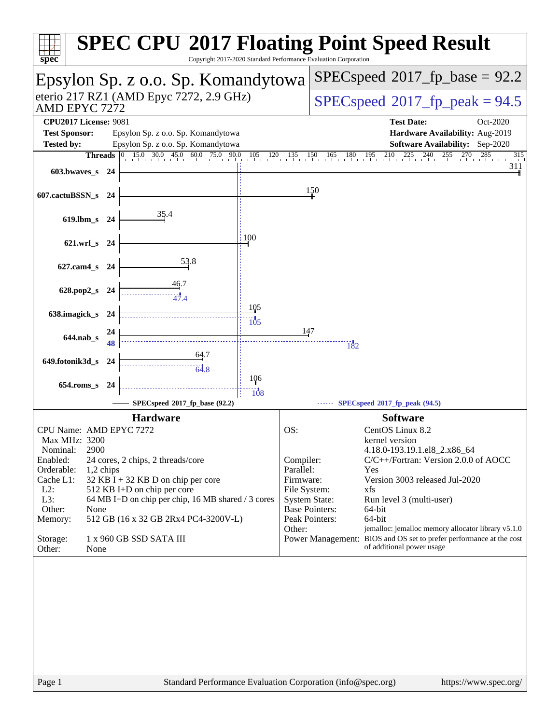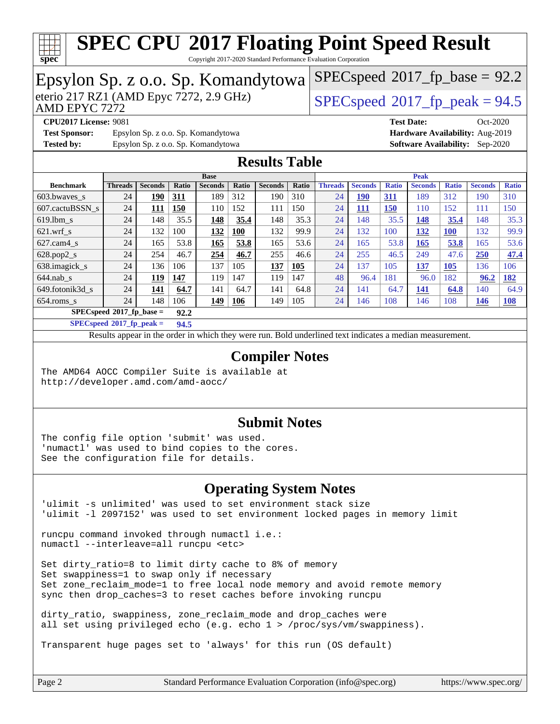

Copyright 2017-2020 Standard Performance Evaluation Corporation

#### Epsylon Sp. z o.o. Sp. Komandytowa<br>eterio 217 RZ1 (AMD Epyc 7272, 2.9 GHz) AMD EPYC 7272  $SPECspeed*2017_fp\_peak = 94.5$  $SPECspeed*2017_fp\_peak = 94.5$  $SPECspeed*2017_fp\_base = 92.2$  $SPECspeed*2017_fp\_base = 92.2$ **[CPU2017 License:](http://www.spec.org/auto/cpu2017/Docs/result-fields.html#CPU2017License)** 9081 **[Test Date:](http://www.spec.org/auto/cpu2017/Docs/result-fields.html#TestDate)** Oct-2020 **[Test Sponsor:](http://www.spec.org/auto/cpu2017/Docs/result-fields.html#TestSponsor)** Epsylon Sp. z o.o. Sp. Komandytowa **[Hardware Availability:](http://www.spec.org/auto/cpu2017/Docs/result-fields.html#HardwareAvailability)** Aug-2019 **[Tested by:](http://www.spec.org/auto/cpu2017/Docs/result-fields.html#Testedby)** Epsylon Sp. z o.o. Sp. Komandytowa **[Software Availability:](http://www.spec.org/auto/cpu2017/Docs/result-fields.html#SoftwareAvailability)** Sep-2020 **[Results Table](http://www.spec.org/auto/cpu2017/Docs/result-fields.html#ResultsTable) [Benchmark](http://www.spec.org/auto/cpu2017/Docs/result-fields.html#Benchmark) [Threads](http://www.spec.org/auto/cpu2017/Docs/result-fields.html#Threads) [Seconds](http://www.spec.org/auto/cpu2017/Docs/result-fields.html#Seconds) [Ratio](http://www.spec.org/auto/cpu2017/Docs/result-fields.html#Ratio) [Seconds](http://www.spec.org/auto/cpu2017/Docs/result-fields.html#Seconds) [Ratio](http://www.spec.org/auto/cpu2017/Docs/result-fields.html#Ratio) [Seconds](http://www.spec.org/auto/cpu2017/Docs/result-fields.html#Seconds) [Ratio](http://www.spec.org/auto/cpu2017/Docs/result-fields.html#Ratio) Base [Threads](http://www.spec.org/auto/cpu2017/Docs/result-fields.html#Threads) [Seconds](http://www.spec.org/auto/cpu2017/Docs/result-fields.html#Seconds) [Ratio](http://www.spec.org/auto/cpu2017/Docs/result-fields.html#Ratio) [Seconds](http://www.spec.org/auto/cpu2017/Docs/result-fields.html#Seconds) [Ratio](http://www.spec.org/auto/cpu2017/Docs/result-fields.html#Ratio) [Seconds](http://www.spec.org/auto/cpu2017/Docs/result-fields.html#Seconds) [Ratio](http://www.spec.org/auto/cpu2017/Docs/result-fields.html#Ratio) Peak** [603.bwaves\\_s](http://www.spec.org/auto/cpu2017/Docs/benchmarks/603.bwaves_s.html) 24 **[190](http://www.spec.org/auto/cpu2017/Docs/result-fields.html#Median) [311](http://www.spec.org/auto/cpu2017/Docs/result-fields.html#Median)** 189 312 190 310 24 **[190](http://www.spec.org/auto/cpu2017/Docs/result-fields.html#Median) [311](http://www.spec.org/auto/cpu2017/Docs/result-fields.html#Median)** 189 312 190 310 [607.cactuBSSN\\_s](http://www.spec.org/auto/cpu2017/Docs/benchmarks/607.cactuBSSN_s.html) 24 **[111](http://www.spec.org/auto/cpu2017/Docs/result-fields.html#Median) [150](http://www.spec.org/auto/cpu2017/Docs/result-fields.html#Median)** 110 152 111 150 24 **[111](http://www.spec.org/auto/cpu2017/Docs/result-fields.html#Median) [150](http://www.spec.org/auto/cpu2017/Docs/result-fields.html#Median)** 110 152 111 150 [619.lbm\\_s](http://www.spec.org/auto/cpu2017/Docs/benchmarks/619.lbm_s.html) 24 148 35.5 **[148](http://www.spec.org/auto/cpu2017/Docs/result-fields.html#Median) [35.4](http://www.spec.org/auto/cpu2017/Docs/result-fields.html#Median)** 148 35.3 24 148 35.5 **[148](http://www.spec.org/auto/cpu2017/Docs/result-fields.html#Median) [35.4](http://www.spec.org/auto/cpu2017/Docs/result-fields.html#Median)** 148 35.3 [621.wrf\\_s](http://www.spec.org/auto/cpu2017/Docs/benchmarks/621.wrf_s.html) 24 132 100 **[132](http://www.spec.org/auto/cpu2017/Docs/result-fields.html#Median) [100](http://www.spec.org/auto/cpu2017/Docs/result-fields.html#Median)** 132 99.9 24 132 100 **[132](http://www.spec.org/auto/cpu2017/Docs/result-fields.html#Median) [100](http://www.spec.org/auto/cpu2017/Docs/result-fields.html#Median)** 132 99.9 [627.cam4\\_s](http://www.spec.org/auto/cpu2017/Docs/benchmarks/627.cam4_s.html) 24 165 53.8 **[165](http://www.spec.org/auto/cpu2017/Docs/result-fields.html#Median) [53.8](http://www.spec.org/auto/cpu2017/Docs/result-fields.html#Median)** 165 53.6 24 165 53.8 **[165](http://www.spec.org/auto/cpu2017/Docs/result-fields.html#Median) [53.8](http://www.spec.org/auto/cpu2017/Docs/result-fields.html#Median)** 165 53.6 [628.pop2\\_s](http://www.spec.org/auto/cpu2017/Docs/benchmarks/628.pop2_s.html) 24 254 46.7 **[254](http://www.spec.org/auto/cpu2017/Docs/result-fields.html#Median) [46.7](http://www.spec.org/auto/cpu2017/Docs/result-fields.html#Median)** 255 46.6 24 255 46.5 249 47.6 **[250](http://www.spec.org/auto/cpu2017/Docs/result-fields.html#Median) [47.4](http://www.spec.org/auto/cpu2017/Docs/result-fields.html#Median)** [638.imagick\\_s](http://www.spec.org/auto/cpu2017/Docs/benchmarks/638.imagick_s.html) 24 136 106 137 105 **[137](http://www.spec.org/auto/cpu2017/Docs/result-fields.html#Median) [105](http://www.spec.org/auto/cpu2017/Docs/result-fields.html#Median)** 24 137 105 **[137](http://www.spec.org/auto/cpu2017/Docs/result-fields.html#Median) [105](http://www.spec.org/auto/cpu2017/Docs/result-fields.html#Median)** 136 106 [644.nab\\_s](http://www.spec.org/auto/cpu2017/Docs/benchmarks/644.nab_s.html) 24 **[119](http://www.spec.org/auto/cpu2017/Docs/result-fields.html#Median) [147](http://www.spec.org/auto/cpu2017/Docs/result-fields.html#Median)** 119 147 119 147 48 96.4 181 96.0 182 **[96.2](http://www.spec.org/auto/cpu2017/Docs/result-fields.html#Median) [182](http://www.spec.org/auto/cpu2017/Docs/result-fields.html#Median)** [649.fotonik3d\\_s](http://www.spec.org/auto/cpu2017/Docs/benchmarks/649.fotonik3d_s.html) 24 **[141](http://www.spec.org/auto/cpu2017/Docs/result-fields.html#Median) [64.7](http://www.spec.org/auto/cpu2017/Docs/result-fields.html#Median)** 141 64.7 141 64.8 24 141 64.7 **[141](http://www.spec.org/auto/cpu2017/Docs/result-fields.html#Median) [64.8](http://www.spec.org/auto/cpu2017/Docs/result-fields.html#Median)** 140 64.9 [654.roms\\_s](http://www.spec.org/auto/cpu2017/Docs/benchmarks/654.roms_s.html) 24 148 106 **[149](http://www.spec.org/auto/cpu2017/Docs/result-fields.html#Median) [106](http://www.spec.org/auto/cpu2017/Docs/result-fields.html#Median)** 149 105 24 146 108 146 108 **[146](http://www.spec.org/auto/cpu2017/Docs/result-fields.html#Median) [108](http://www.spec.org/auto/cpu2017/Docs/result-fields.html#Median) [SPECspeed](http://www.spec.org/auto/cpu2017/Docs/result-fields.html#SPECspeed2017fpbase)[2017\\_fp\\_base =](http://www.spec.org/auto/cpu2017/Docs/result-fields.html#SPECspeed2017fpbase) 92.2 [SPECspeed](http://www.spec.org/auto/cpu2017/Docs/result-fields.html#SPECspeed2017fppeak)[2017\\_fp\\_peak =](http://www.spec.org/auto/cpu2017/Docs/result-fields.html#SPECspeed2017fppeak) 94.5** Results appear in the [order in which they were run.](http://www.spec.org/auto/cpu2017/Docs/result-fields.html#RunOrder) Bold underlined text [indicates a median measurement](http://www.spec.org/auto/cpu2017/Docs/result-fields.html#Median).

### **[Compiler Notes](http://www.spec.org/auto/cpu2017/Docs/result-fields.html#CompilerNotes)**

The AMD64 AOCC Compiler Suite is available at <http://developer.amd.com/amd-aocc/>

### **[Submit Notes](http://www.spec.org/auto/cpu2017/Docs/result-fields.html#SubmitNotes)**

The config file option 'submit' was used. 'numactl' was used to bind copies to the cores. See the configuration file for details.

### **[Operating System Notes](http://www.spec.org/auto/cpu2017/Docs/result-fields.html#OperatingSystemNotes)**

'ulimit -s unlimited' was used to set environment stack size 'ulimit -l 2097152' was used to set environment locked pages in memory limit

runcpu command invoked through numactl i.e.: numactl --interleave=all runcpu <etc>

Set dirty\_ratio=8 to limit dirty cache to 8% of memory Set swappiness=1 to swap only if necessary Set zone\_reclaim\_mode=1 to free local node memory and avoid remote memory sync then drop\_caches=3 to reset caches before invoking runcpu

dirty ratio, swappiness, zone reclaim mode and drop caches were all set using privileged echo (e.g. echo 1 > /proc/sys/vm/swappiness).

Transparent huge pages set to 'always' for this run (OS default)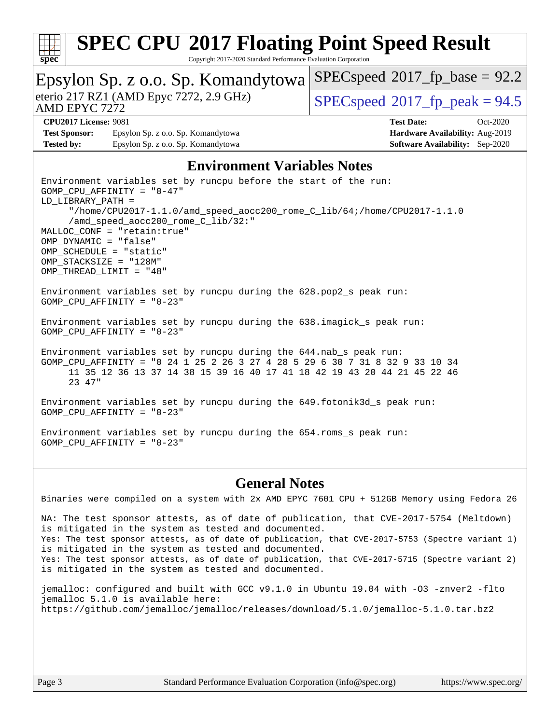

Copyright 2017-2020 Standard Performance Evaluation Corporation

#### Epsylon Sp. z o.o. Sp. Komandytowa AMD EPYC 7272 eterio 217 RZ1 (AMD Epyc 7272, 2.9 GHz)  $\qquad \qquad$  [SPECspeed](http://www.spec.org/auto/cpu2017/Docs/result-fields.html#SPECspeed2017fppeak)®[2017\\_fp\\_peak = 9](http://www.spec.org/auto/cpu2017/Docs/result-fields.html#SPECspeed2017fppeak)4.5  $SPECspeed*2017_fp\_base = 92.2$  $SPECspeed*2017_fp\_base = 92.2$ **[CPU2017 License:](http://www.spec.org/auto/cpu2017/Docs/result-fields.html#CPU2017License)** 9081 **[Test Date:](http://www.spec.org/auto/cpu2017/Docs/result-fields.html#TestDate)** Oct-2020 **[Test Sponsor:](http://www.spec.org/auto/cpu2017/Docs/result-fields.html#TestSponsor)** Epsylon Sp. z o.o. Sp. Komandytowa **[Hardware Availability:](http://www.spec.org/auto/cpu2017/Docs/result-fields.html#HardwareAvailability)** Aug-2019 **[Tested by:](http://www.spec.org/auto/cpu2017/Docs/result-fields.html#Testedby)** Epsylon Sp. z o.o. Sp. Komandytowa **[Software Availability:](http://www.spec.org/auto/cpu2017/Docs/result-fields.html#SoftwareAvailability)** Sep-2020 **[Environment Variables Notes](http://www.spec.org/auto/cpu2017/Docs/result-fields.html#EnvironmentVariablesNotes)** Environment variables set by runcpu before the start of the run: GOMP\_CPU\_AFFINITY = "0-47" LD\_LIBRARY\_PATH = "/home/CPU2017-1.1.0/amd\_speed\_aocc200\_rome\_C\_lib/64;/home/CPU2017-1.1.0 /amd\_speed\_aocc200\_rome\_C\_lib/32:" MALLOC\_CONF = "retain:true" OMP\_DYNAMIC = "false" OMP\_SCHEDULE = "static" OMP\_STACKSIZE = "128M" OMP\_THREAD\_LIMIT = "48" Environment variables set by runcpu during the 628.pop2\_s peak run: GOMP CPU AFFINITY =  $"0-23"$ Environment variables set by runcpu during the 638.imagick\_s peak run:

GOMP\_CPU\_AFFINITY = "0-23"

Environment variables set by runcpu during the 644.nab\_s peak run: GOMP\_CPU\_AFFINITY = "0 24 1 25 2 26 3 27 4 28 5 29 6 30 7 31 8 32 9 33 10 34 11 35 12 36 13 37 14 38 15 39 16 40 17 41 18 42 19 43 20 44 21 45 22 46 23 47"

Environment variables set by runcpu during the 649.fotonik3d\_s peak run: GOMP CPU AFFINITY =  $"0-23"$ 

Environment variables set by runcpu during the 654.roms\_s peak run: GOMP\_CPU\_AFFINITY = "0-23"

### **[General Notes](http://www.spec.org/auto/cpu2017/Docs/result-fields.html#GeneralNotes)**

Binaries were compiled on a system with 2x AMD EPYC 7601 CPU + 512GB Memory using Fedora 26 NA: The test sponsor attests, as of date of publication, that CVE-2017-5754 (Meltdown) is mitigated in the system as tested and documented. Yes: The test sponsor attests, as of date of publication, that CVE-2017-5753 (Spectre variant 1) is mitigated in the system as tested and documented. Yes: The test sponsor attests, as of date of publication, that CVE-2017-5715 (Spectre variant 2) is mitigated in the system as tested and documented.

jemalloc: configured and built with GCC v9.1.0 in Ubuntu 19.04 with -O3 -znver2 -flto jemalloc 5.1.0 is available here: <https://github.com/jemalloc/jemalloc/releases/download/5.1.0/jemalloc-5.1.0.tar.bz2>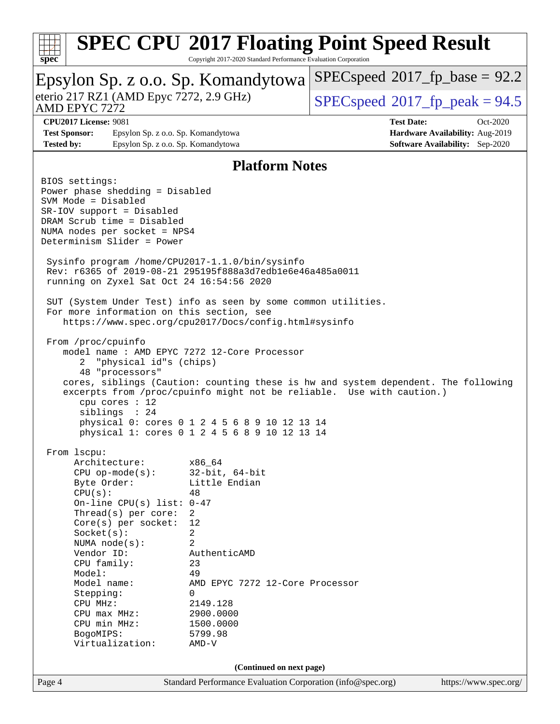

Copyright 2017-2020 Standard Performance Evaluation Corporation

| eterio 217 RZ1 (AMD Epyc 7272, 2.9 GHz)<br>$SPEC speed^{\circ}2017$ _fp_peak = 94.5<br>AMD EPYC 7272<br><b>CPU2017 License: 9081</b><br><b>Test Date:</b><br>Oct-2020<br><b>Test Sponsor:</b><br>Epsylon Sp. z o.o. Sp. Komandytowa<br>Hardware Availability: Aug-2019<br><b>Tested by:</b><br><b>Software Availability:</b> Sep-2020<br>Epsylon Sp. z o.o. Sp. Komandytowa<br><b>Platform Notes</b><br>BIOS settings:<br>Power phase shedding = Disabled<br>SVM Mode = Disabled<br>SR-IOV support = Disabled<br>DRAM Scrub time = Disabled<br>NUMA nodes per socket = NPS4<br>Determinism Slider = Power<br>Sysinfo program /home/CPU2017-1.1.0/bin/sysinfo<br>Rev: r6365 of 2019-08-21 295195f888a3d7edble6e46a485a0011<br>running on Zyxel Sat Oct 24 16:54:56 2020<br>SUT (System Under Test) info as seen by some common utilities.<br>For more information on this section, see<br>https://www.spec.org/cpu2017/Docs/config.html#sysinfo<br>From /proc/cpuinfo<br>model name: AMD EPYC 7272 12-Core Processor<br>"physical id"s (chips)<br>2<br>48 "processors"<br>cores, siblings (Caution: counting these is hw and system dependent. The following<br>excerpts from /proc/cpuinfo might not be reliable. Use with caution.)<br>cpu cores : 12<br>siblings : 24<br>physical 0: cores 0 1 2 4 5 6 8 9 10 12 13 14<br>physical 1: cores 0 1 2 4 5 6 8 9 10 12 13 14<br>From lscpu:<br>Architecture:<br>x86 64<br>$32$ -bit, $64$ -bit<br>$CPU$ op-mode( $s$ ):<br>Byte Order:<br>Little Endian<br>CPU(s):<br>48<br>On-line CPU(s) list: $0-47$<br>Thread(s) per core:<br>2<br>Core(s) per socket:<br>12<br>2<br>Socket(s):<br>2<br>NUMA $node(s):$<br>Vendor ID:<br>AuthenticAMD<br>CPU family:<br>23<br>Model:<br>49<br>Model name:<br>AMD EPYC 7272 12-Core Processor<br>Stepping:<br>0<br>2149.128<br>CPU MHz:<br>CPU max MHz:<br>2900.0000<br>CPU min MHz:<br>1500.0000<br>BogoMIPS:<br>5799.98<br>Virtualization:<br>$AMD-V$<br>(Continued on next page)<br>Standard Performance Evaluation Corporation (info@spec.org)<br>Page 4<br>https://www.spec.org/ | Epsylon Sp. z o.o. Sp. Komandytowa |  | $SPEC speed^{\circ}2017\_fp\_base = 92.2$ |  |  |
|-----------------------------------------------------------------------------------------------------------------------------------------------------------------------------------------------------------------------------------------------------------------------------------------------------------------------------------------------------------------------------------------------------------------------------------------------------------------------------------------------------------------------------------------------------------------------------------------------------------------------------------------------------------------------------------------------------------------------------------------------------------------------------------------------------------------------------------------------------------------------------------------------------------------------------------------------------------------------------------------------------------------------------------------------------------------------------------------------------------------------------------------------------------------------------------------------------------------------------------------------------------------------------------------------------------------------------------------------------------------------------------------------------------------------------------------------------------------------------------------------------------------------------------------------------------------------------------------------------------------------------------------------------------------------------------------------------------------------------------------------------------------------------------------------------------------------------------------------------------------------------------------------------------------------------------------------------------------------------------------------------------------------------------------------------------------------|------------------------------------|--|-------------------------------------------|--|--|
|                                                                                                                                                                                                                                                                                                                                                                                                                                                                                                                                                                                                                                                                                                                                                                                                                                                                                                                                                                                                                                                                                                                                                                                                                                                                                                                                                                                                                                                                                                                                                                                                                                                                                                                                                                                                                                                                                                                                                                                                                                                                       |                                    |  |                                           |  |  |
|                                                                                                                                                                                                                                                                                                                                                                                                                                                                                                                                                                                                                                                                                                                                                                                                                                                                                                                                                                                                                                                                                                                                                                                                                                                                                                                                                                                                                                                                                                                                                                                                                                                                                                                                                                                                                                                                                                                                                                                                                                                                       |                                    |  |                                           |  |  |
|                                                                                                                                                                                                                                                                                                                                                                                                                                                                                                                                                                                                                                                                                                                                                                                                                                                                                                                                                                                                                                                                                                                                                                                                                                                                                                                                                                                                                                                                                                                                                                                                                                                                                                                                                                                                                                                                                                                                                                                                                                                                       |                                    |  |                                           |  |  |
|                                                                                                                                                                                                                                                                                                                                                                                                                                                                                                                                                                                                                                                                                                                                                                                                                                                                                                                                                                                                                                                                                                                                                                                                                                                                                                                                                                                                                                                                                                                                                                                                                                                                                                                                                                                                                                                                                                                                                                                                                                                                       |                                    |  |                                           |  |  |
|                                                                                                                                                                                                                                                                                                                                                                                                                                                                                                                                                                                                                                                                                                                                                                                                                                                                                                                                                                                                                                                                                                                                                                                                                                                                                                                                                                                                                                                                                                                                                                                                                                                                                                                                                                                                                                                                                                                                                                                                                                                                       |                                    |  |                                           |  |  |
|                                                                                                                                                                                                                                                                                                                                                                                                                                                                                                                                                                                                                                                                                                                                                                                                                                                                                                                                                                                                                                                                                                                                                                                                                                                                                                                                                                                                                                                                                                                                                                                                                                                                                                                                                                                                                                                                                                                                                                                                                                                                       |                                    |  |                                           |  |  |
|                                                                                                                                                                                                                                                                                                                                                                                                                                                                                                                                                                                                                                                                                                                                                                                                                                                                                                                                                                                                                                                                                                                                                                                                                                                                                                                                                                                                                                                                                                                                                                                                                                                                                                                                                                                                                                                                                                                                                                                                                                                                       |                                    |  |                                           |  |  |
|                                                                                                                                                                                                                                                                                                                                                                                                                                                                                                                                                                                                                                                                                                                                                                                                                                                                                                                                                                                                                                                                                                                                                                                                                                                                                                                                                                                                                                                                                                                                                                                                                                                                                                                                                                                                                                                                                                                                                                                                                                                                       |                                    |  |                                           |  |  |
|                                                                                                                                                                                                                                                                                                                                                                                                                                                                                                                                                                                                                                                                                                                                                                                                                                                                                                                                                                                                                                                                                                                                                                                                                                                                                                                                                                                                                                                                                                                                                                                                                                                                                                                                                                                                                                                                                                                                                                                                                                                                       |                                    |  |                                           |  |  |
|                                                                                                                                                                                                                                                                                                                                                                                                                                                                                                                                                                                                                                                                                                                                                                                                                                                                                                                                                                                                                                                                                                                                                                                                                                                                                                                                                                                                                                                                                                                                                                                                                                                                                                                                                                                                                                                                                                                                                                                                                                                                       |                                    |  |                                           |  |  |
|                                                                                                                                                                                                                                                                                                                                                                                                                                                                                                                                                                                                                                                                                                                                                                                                                                                                                                                                                                                                                                                                                                                                                                                                                                                                                                                                                                                                                                                                                                                                                                                                                                                                                                                                                                                                                                                                                                                                                                                                                                                                       |                                    |  |                                           |  |  |
|                                                                                                                                                                                                                                                                                                                                                                                                                                                                                                                                                                                                                                                                                                                                                                                                                                                                                                                                                                                                                                                                                                                                                                                                                                                                                                                                                                                                                                                                                                                                                                                                                                                                                                                                                                                                                                                                                                                                                                                                                                                                       |                                    |  |                                           |  |  |
|                                                                                                                                                                                                                                                                                                                                                                                                                                                                                                                                                                                                                                                                                                                                                                                                                                                                                                                                                                                                                                                                                                                                                                                                                                                                                                                                                                                                                                                                                                                                                                                                                                                                                                                                                                                                                                                                                                                                                                                                                                                                       |                                    |  |                                           |  |  |
|                                                                                                                                                                                                                                                                                                                                                                                                                                                                                                                                                                                                                                                                                                                                                                                                                                                                                                                                                                                                                                                                                                                                                                                                                                                                                                                                                                                                                                                                                                                                                                                                                                                                                                                                                                                                                                                                                                                                                                                                                                                                       |                                    |  |                                           |  |  |
|                                                                                                                                                                                                                                                                                                                                                                                                                                                                                                                                                                                                                                                                                                                                                                                                                                                                                                                                                                                                                                                                                                                                                                                                                                                                                                                                                                                                                                                                                                                                                                                                                                                                                                                                                                                                                                                                                                                                                                                                                                                                       |                                    |  |                                           |  |  |
|                                                                                                                                                                                                                                                                                                                                                                                                                                                                                                                                                                                                                                                                                                                                                                                                                                                                                                                                                                                                                                                                                                                                                                                                                                                                                                                                                                                                                                                                                                                                                                                                                                                                                                                                                                                                                                                                                                                                                                                                                                                                       |                                    |  |                                           |  |  |
|                                                                                                                                                                                                                                                                                                                                                                                                                                                                                                                                                                                                                                                                                                                                                                                                                                                                                                                                                                                                                                                                                                                                                                                                                                                                                                                                                                                                                                                                                                                                                                                                                                                                                                                                                                                                                                                                                                                                                                                                                                                                       |                                    |  |                                           |  |  |
|                                                                                                                                                                                                                                                                                                                                                                                                                                                                                                                                                                                                                                                                                                                                                                                                                                                                                                                                                                                                                                                                                                                                                                                                                                                                                                                                                                                                                                                                                                                                                                                                                                                                                                                                                                                                                                                                                                                                                                                                                                                                       |                                    |  |                                           |  |  |
|                                                                                                                                                                                                                                                                                                                                                                                                                                                                                                                                                                                                                                                                                                                                                                                                                                                                                                                                                                                                                                                                                                                                                                                                                                                                                                                                                                                                                                                                                                                                                                                                                                                                                                                                                                                                                                                                                                                                                                                                                                                                       |                                    |  |                                           |  |  |
|                                                                                                                                                                                                                                                                                                                                                                                                                                                                                                                                                                                                                                                                                                                                                                                                                                                                                                                                                                                                                                                                                                                                                                                                                                                                                                                                                                                                                                                                                                                                                                                                                                                                                                                                                                                                                                                                                                                                                                                                                                                                       |                                    |  |                                           |  |  |
|                                                                                                                                                                                                                                                                                                                                                                                                                                                                                                                                                                                                                                                                                                                                                                                                                                                                                                                                                                                                                                                                                                                                                                                                                                                                                                                                                                                                                                                                                                                                                                                                                                                                                                                                                                                                                                                                                                                                                                                                                                                                       |                                    |  |                                           |  |  |
|                                                                                                                                                                                                                                                                                                                                                                                                                                                                                                                                                                                                                                                                                                                                                                                                                                                                                                                                                                                                                                                                                                                                                                                                                                                                                                                                                                                                                                                                                                                                                                                                                                                                                                                                                                                                                                                                                                                                                                                                                                                                       |                                    |  |                                           |  |  |
|                                                                                                                                                                                                                                                                                                                                                                                                                                                                                                                                                                                                                                                                                                                                                                                                                                                                                                                                                                                                                                                                                                                                                                                                                                                                                                                                                                                                                                                                                                                                                                                                                                                                                                                                                                                                                                                                                                                                                                                                                                                                       |                                    |  |                                           |  |  |
|                                                                                                                                                                                                                                                                                                                                                                                                                                                                                                                                                                                                                                                                                                                                                                                                                                                                                                                                                                                                                                                                                                                                                                                                                                                                                                                                                                                                                                                                                                                                                                                                                                                                                                                                                                                                                                                                                                                                                                                                                                                                       |                                    |  |                                           |  |  |
|                                                                                                                                                                                                                                                                                                                                                                                                                                                                                                                                                                                                                                                                                                                                                                                                                                                                                                                                                                                                                                                                                                                                                                                                                                                                                                                                                                                                                                                                                                                                                                                                                                                                                                                                                                                                                                                                                                                                                                                                                                                                       |                                    |  |                                           |  |  |
|                                                                                                                                                                                                                                                                                                                                                                                                                                                                                                                                                                                                                                                                                                                                                                                                                                                                                                                                                                                                                                                                                                                                                                                                                                                                                                                                                                                                                                                                                                                                                                                                                                                                                                                                                                                                                                                                                                                                                                                                                                                                       |                                    |  |                                           |  |  |
|                                                                                                                                                                                                                                                                                                                                                                                                                                                                                                                                                                                                                                                                                                                                                                                                                                                                                                                                                                                                                                                                                                                                                                                                                                                                                                                                                                                                                                                                                                                                                                                                                                                                                                                                                                                                                                                                                                                                                                                                                                                                       |                                    |  |                                           |  |  |
|                                                                                                                                                                                                                                                                                                                                                                                                                                                                                                                                                                                                                                                                                                                                                                                                                                                                                                                                                                                                                                                                                                                                                                                                                                                                                                                                                                                                                                                                                                                                                                                                                                                                                                                                                                                                                                                                                                                                                                                                                                                                       |                                    |  |                                           |  |  |
|                                                                                                                                                                                                                                                                                                                                                                                                                                                                                                                                                                                                                                                                                                                                                                                                                                                                                                                                                                                                                                                                                                                                                                                                                                                                                                                                                                                                                                                                                                                                                                                                                                                                                                                                                                                                                                                                                                                                                                                                                                                                       |                                    |  |                                           |  |  |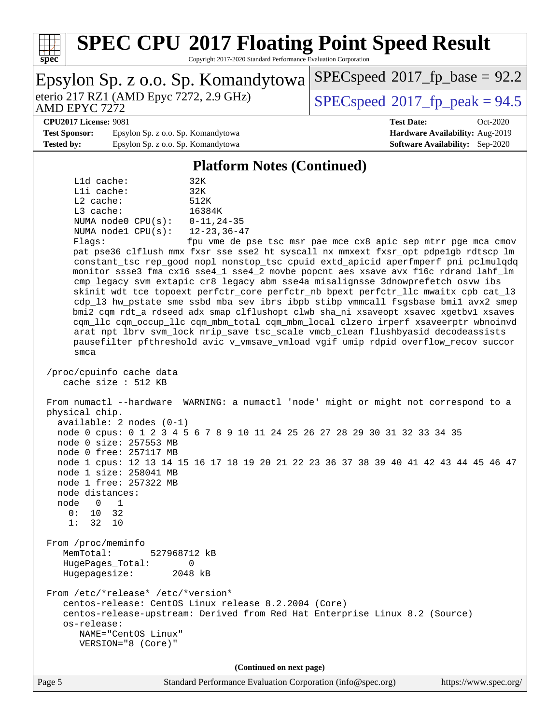

Copyright 2017-2020 Standard Performance Evaluation Corporation

#### Epsylon Sp. z o.o. Sp. Komandytowa AMD EPYC 7272 eterio 217 RZ1 (AMD Epyc 7272, 2.9 GHz)  $\text{SPEC speed}$  2017 fp peak = 94.5  $SPECspeed^{\circledcirc}2017$  $SPECspeed^{\circledcirc}2017$  fp base = 92.2 **[CPU2017 License:](http://www.spec.org/auto/cpu2017/Docs/result-fields.html#CPU2017License)** 9081 **[Test Date:](http://www.spec.org/auto/cpu2017/Docs/result-fields.html#TestDate)** Oct-2020 **[Test Sponsor:](http://www.spec.org/auto/cpu2017/Docs/result-fields.html#TestSponsor)** Epsylon Sp. z o.o. Sp. Komandytowa **[Hardware Availability:](http://www.spec.org/auto/cpu2017/Docs/result-fields.html#HardwareAvailability)** Aug-2019 **[Tested by:](http://www.spec.org/auto/cpu2017/Docs/result-fields.html#Testedby)** Epsylon Sp. z o.o. Sp. Komandytowa **[Software Availability:](http://www.spec.org/auto/cpu2017/Docs/result-fields.html#SoftwareAvailability)** Sep-2020 **[Platform Notes \(Continued\)](http://www.spec.org/auto/cpu2017/Docs/result-fields.html#PlatformNotes)** L1d cache: 32K L1i cache: 32K L2 cache: 512K L3 cache: 16384K NUMA node0 CPU(s): 0-11,24-35 NUMA node1 CPU(s): 12-23,36-47 Flags: fpu vme de pse tsc msr pae mce cx8 apic sep mtrr pge mca cmov pat pse36 clflush mmx fxsr sse sse2 ht syscall nx mmxext fxsr\_opt pdpe1gb rdtscp lm constant\_tsc rep\_good nopl nonstop\_tsc cpuid extd\_apicid aperfmperf pni pclmulqdq monitor ssse3 fma cx16 sse4\_1 sse4\_2 movbe popcnt aes xsave avx f16c rdrand lahf\_lm cmp\_legacy svm extapic cr8\_legacy abm sse4a misalignsse 3dnowprefetch osvw ibs skinit wdt tce topoext perfctr\_core perfctr\_nb bpext perfctr\_llc mwaitx cpb cat\_l3 cdp\_l3 hw\_pstate sme ssbd mba sev ibrs ibpb stibp vmmcall fsgsbase bmi1 avx2 smep bmi2 cqm rdt\_a rdseed adx smap clflushopt clwb sha\_ni xsaveopt xsavec xgetbv1 xsaves cqm\_llc cqm\_occup\_llc cqm\_mbm\_total cqm\_mbm\_local clzero irperf xsaveerptr wbnoinvd arat npt lbrv svm\_lock nrip\_save tsc\_scale vmcb\_clean flushbyasid decodeassists pausefilter pfthreshold avic v\_vmsave\_vmload vgif umip rdpid overflow\_recov succor smca /proc/cpuinfo cache data cache size : 512 KB From numactl --hardware WARNING: a numactl 'node' might or might not correspond to a physical chip. available: 2 nodes (0-1) node 0 cpus: 0 1 2 3 4 5 6 7 8 9 10 11 24 25 26 27 28 29 30 31 32 33 34 35 node 0 size: 257553 MB node 0 free: 257117 MB node 1 cpus: 12 13 14 15 16 17 18 19 20 21 22 23 36 37 38 39 40 41 42 43 44 45 46 47 node 1 size: 258041 MB node 1 free: 257322 MB node distances: node 0 1 0: 10 32 1: 32 10 From /proc/meminfo MemTotal: 527968712 kB HugePages\_Total: 0 Hugepagesize: 2048 kB From /etc/\*release\* /etc/\*version\* centos-release: CentOS Linux release 8.2.2004 (Core) centos-release-upstream: Derived from Red Hat Enterprise Linux 8.2 (Source) os-release: NAME="CentOS Linux" VERSION="8 (Core)" **(Continued on next page)**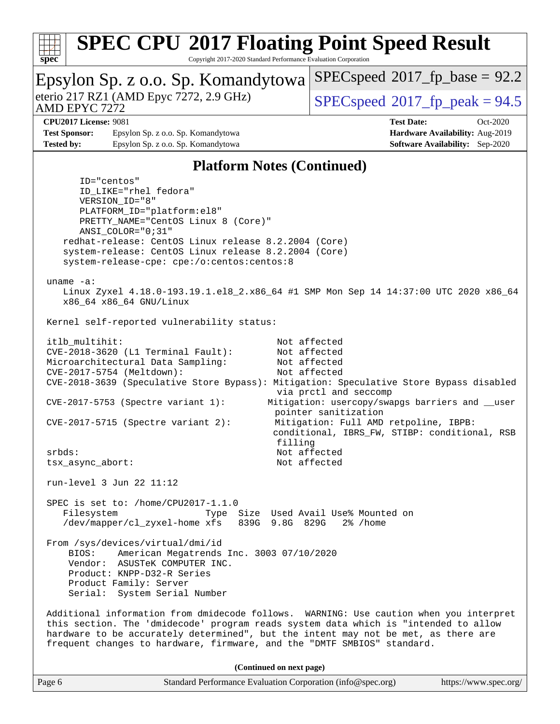

 $SPECspeed^{\circledcirc}2017$  $SPECspeed^{\circledcirc}2017$  fp base = 92.2

Copyright 2017-2020 Standard Performance Evaluation Corporation

Epsylon Sp. z o.o. Sp. Komandytowa

#### AMD EPYC 7272 eterio 217 RZ1 (AMD Epyc 7272, 2.9 GHz)  $\qquad \qquad$  [SPECspeed](http://www.spec.org/auto/cpu2017/Docs/result-fields.html#SPECspeed2017fppeak)®[2017\\_fp\\_peak = 9](http://www.spec.org/auto/cpu2017/Docs/result-fields.html#SPECspeed2017fppeak)4.5 **[CPU2017 License:](http://www.spec.org/auto/cpu2017/Docs/result-fields.html#CPU2017License)** 9081 **[Test Date:](http://www.spec.org/auto/cpu2017/Docs/result-fields.html#TestDate)** Oct-2020 **[Test Sponsor:](http://www.spec.org/auto/cpu2017/Docs/result-fields.html#TestSponsor)** Epsylon Sp. z o.o. Sp. Komandytowa **[Hardware Availability:](http://www.spec.org/auto/cpu2017/Docs/result-fields.html#HardwareAvailability)** Aug-2019 **[Tested by:](http://www.spec.org/auto/cpu2017/Docs/result-fields.html#Testedby)** Epsylon Sp. z o.o. Sp. Komandytowa **[Software Availability:](http://www.spec.org/auto/cpu2017/Docs/result-fields.html#SoftwareAvailability)** Sep-2020 **[Platform Notes \(Continued\)](http://www.spec.org/auto/cpu2017/Docs/result-fields.html#PlatformNotes)** ID="centos" ID\_LIKE="rhel fedora" VERSION\_ID="8" PLATFORM\_ID="platform:el8" PRETTY\_NAME="CentOS Linux 8 (Core)" ANSI\_COLOR="0;31" redhat-release: CentOS Linux release 8.2.2004 (Core) system-release: CentOS Linux release 8.2.2004 (Core) system-release-cpe: cpe:/o:centos:centos:8 uname -a: Linux Zyxel 4.18.0-193.19.1.el8\_2.x86\_64 #1 SMP Mon Sep 14 14:37:00 UTC 2020 x86\_64 x86\_64 x86\_64 GNU/Linux Kernel self-reported vulnerability status: itlb\_multihit: Not affected CVE-2018-3620 (L1 Terminal Fault): Not affected Microarchitectural Data Sampling: Not affected CVE-2017-5754 (Meltdown): Not affected CVE-2018-3639 (Speculative Store Bypass): Mitigation: Speculative Store Bypass disabled via prctl and seccomp CVE-2017-5753 (Spectre variant 1): Mitigation: usercopy/swapgs barriers and \_\_user pointer sanitization CVE-2017-5715 (Spectre variant 2): Mitigation: Full AMD retpoline, IBPB: conditional, IBRS\_FW, STIBP: conditional, RSB filling srbds: Not affected tsx\_async\_abort: Not affected run-level 3 Jun 22 11:12 SPEC is set to: /home/CPU2017-1.1.0 Filesystem Type Size Used Avail Use% Mounted on /dev/mapper/cl\_zyxel-home xfs 839G 9.8G 829G 2% /home From /sys/devices/virtual/dmi/id BIOS: American Megatrends Inc. 3003 07/10/2020 Vendor: ASUSTeK COMPUTER INC. Product: KNPP-D32-R Series Product Family: Server Serial: System Serial Number Additional information from dmidecode follows. WARNING: Use caution when you interpret this section. The 'dmidecode' program reads system data which is "intended to allow hardware to be accurately determined", but the intent may not be met, as there are frequent changes to hardware, firmware, and the "DMTF SMBIOS" standard.

**(Continued on next page)**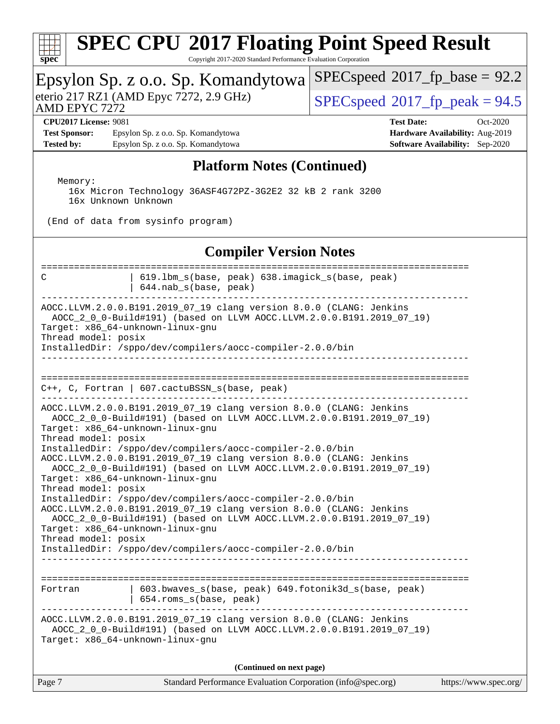

Copyright 2017-2020 Standard Performance Evaluation Corporation

# Epsylon Sp. z o.o. Sp. Komandytowa<br>eterio 217 RZ1 (AMD Epyc 7272, 2.9 GHz)

 $SPECspeed@2017_fp\_peak = 94.5$  $SPECspeed@2017_fp\_peak = 94.5$  $SPECspeed*2017_fp\_base = 92.2$  $SPECspeed*2017_fp\_base = 92.2$ 

AMD EPYC 7272

**[CPU2017 License:](http://www.spec.org/auto/cpu2017/Docs/result-fields.html#CPU2017License)** 9081 **[Test Date:](http://www.spec.org/auto/cpu2017/Docs/result-fields.html#TestDate)** Oct-2020 **[Test Sponsor:](http://www.spec.org/auto/cpu2017/Docs/result-fields.html#TestSponsor)** Epsylon Sp. z o.o. Sp. Komandytowa **[Hardware Availability:](http://www.spec.org/auto/cpu2017/Docs/result-fields.html#HardwareAvailability)** Aug-2019 **[Tested by:](http://www.spec.org/auto/cpu2017/Docs/result-fields.html#Testedby)** Epsylon Sp. z o.o. Sp. Komandytowa **[Software Availability:](http://www.spec.org/auto/cpu2017/Docs/result-fields.html#SoftwareAvailability)** Sep-2020

### **[Platform Notes \(Continued\)](http://www.spec.org/auto/cpu2017/Docs/result-fields.html#PlatformNotes)**

Memory:

 16x Micron Technology 36ASF4G72PZ-3G2E2 32 kB 2 rank 3200 16x Unknown Unknown

(End of data from sysinfo program)

|                                                                                                                                                                               | <b>Compiler Version Notes</b>                                                                                                                                                                                                                                                                                                                                                                                                                                                                                                                                                                                                       |                       |
|-------------------------------------------------------------------------------------------------------------------------------------------------------------------------------|-------------------------------------------------------------------------------------------------------------------------------------------------------------------------------------------------------------------------------------------------------------------------------------------------------------------------------------------------------------------------------------------------------------------------------------------------------------------------------------------------------------------------------------------------------------------------------------------------------------------------------------|-----------------------|
| C                                                                                                                                                                             | 619.1bm s(base, peak) 638.imagick s(base, peak)<br>$644.nab_s(base, peak)$                                                                                                                                                                                                                                                                                                                                                                                                                                                                                                                                                          |                       |
| Target: x86_64-unknown-linux-gnu<br>Thread model: posix                                                                                                                       | AOCC.LLVM.2.0.0.B191.2019_07_19 clang version 8.0.0 (CLANG: Jenkins<br>AOCC_2_0_0-Build#191) (based on LLVM AOCC.LLVM.2.0.0.B191.2019_07_19)<br>InstalledDir: /sppo/dev/compilers/aocc-compiler-2.0.0/bin                                                                                                                                                                                                                                                                                                                                                                                                                           |                       |
|                                                                                                                                                                               | $C_{++}$ , C, Fortran   607.cactuBSSN s(base, peak)                                                                                                                                                                                                                                                                                                                                                                                                                                                                                                                                                                                 |                       |
| Target: x86_64-unknown-linux-gnu<br>Thread model: posix<br>Target: x86_64-unknown-linux-gnu<br>Thread model: posix<br>Target: x86_64-unknown-linux-gnu<br>Thread model: posix | AOCC.LLVM.2.0.0.B191.2019_07_19 clang version 8.0.0 (CLANG: Jenkins<br>AOCC_2_0_0-Build#191) (based on LLVM AOCC.LLVM.2.0.0.B191.2019_07_19)<br>InstalledDir: /sppo/dev/compilers/aocc-compiler-2.0.0/bin<br>AOCC.LLVM.2.0.0.B191.2019_07_19 clang version 8.0.0 (CLANG: Jenkins<br>AOCC_2_0_0-Build#191) (based on LLVM AOCC.LLVM.2.0.0.B191.2019_07_19)<br>InstalledDir: /sppo/dev/compilers/aocc-compiler-2.0.0/bin<br>AOCC.LLVM.2.0.0.B191.2019_07_19 clang version 8.0.0 (CLANG: Jenkins<br>AOCC_2_0_0-Build#191) (based on LLVM AOCC.LLVM.2.0.0.B191.2019_07_19)<br>InstalledDir: /sppo/dev/compilers/aocc-compiler-2.0.0/bin |                       |
| Fortran                                                                                                                                                                       | 603.bwaves_s(base, peak) 649.fotonik3d_s(base, peak)<br>654.roms_s(base, peak)                                                                                                                                                                                                                                                                                                                                                                                                                                                                                                                                                      |                       |
| Target: x86_64-unknown-linux-gnu                                                                                                                                              | AOCC.LLVM.2.0.0.B191.2019_07_19 clang version 8.0.0 (CLANG: Jenkins<br>AOCC_2_0_0-Build#191) (based on LLVM AOCC.LLVM.2.0.0.B191.2019_07_19)                                                                                                                                                                                                                                                                                                                                                                                                                                                                                        |                       |
|                                                                                                                                                                               | (Continued on next page)                                                                                                                                                                                                                                                                                                                                                                                                                                                                                                                                                                                                            |                       |
| Page 7                                                                                                                                                                        | Standard Performance Evaluation Corporation (info@spec.org)                                                                                                                                                                                                                                                                                                                                                                                                                                                                                                                                                                         | https://www.spec.org/ |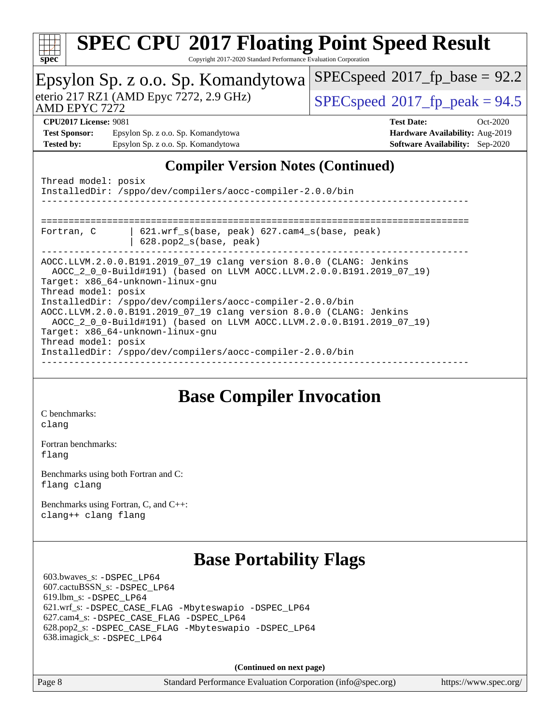| <b>SPEC CPU®2017 Floating Point Speed Result</b>                                                                                                                                                                                                                                                                                                                                                                                                                                                                                             |                                          |  |  |  |  |
|----------------------------------------------------------------------------------------------------------------------------------------------------------------------------------------------------------------------------------------------------------------------------------------------------------------------------------------------------------------------------------------------------------------------------------------------------------------------------------------------------------------------------------------------|------------------------------------------|--|--|--|--|
| spec<br>Copyright 2017-2020 Standard Performance Evaluation Corporation                                                                                                                                                                                                                                                                                                                                                                                                                                                                      |                                          |  |  |  |  |
| Epsylon Sp. z o.o. Sp. Komandytowa                                                                                                                                                                                                                                                                                                                                                                                                                                                                                                           | $SPEC speed^{\circ}2017$ fp base = 92.2  |  |  |  |  |
| eterio 217 RZ1 (AMD Epyc 7272, 2.9 GHz)<br>AMD EPYC 7272                                                                                                                                                                                                                                                                                                                                                                                                                                                                                     | $SPEC speed^{\circ}2017$ _fp_peak = 94.5 |  |  |  |  |
| <b>CPU2017 License: 9081</b>                                                                                                                                                                                                                                                                                                                                                                                                                                                                                                                 | <b>Test Date:</b><br>$Oct-2020$          |  |  |  |  |
| <b>Test Sponsor:</b><br>Epsylon Sp. z o.o. Sp. Komandytowa                                                                                                                                                                                                                                                                                                                                                                                                                                                                                   | Hardware Availability: Aug-2019          |  |  |  |  |
| <b>Tested by:</b><br>Epsylon Sp. z o.o. Sp. Komandytowa                                                                                                                                                                                                                                                                                                                                                                                                                                                                                      | Software Availability: Sep-2020          |  |  |  |  |
| <b>Compiler Version Notes (Continued)</b><br>Thread model: posix<br>InstalledDir: /sppo/dev/compilers/aocc-compiler-2.0.0/bin<br>$621.wrf_s(base, peak)$ $627.cam4_s(base, peak)$<br>Fortran, C<br>628.pop2_s(base, peak)                                                                                                                                                                                                                                                                                                                    |                                          |  |  |  |  |
| AOCC.LLVM.2.0.0.B191.2019_07_19 clang version 8.0.0 (CLANG: Jenkins<br>AOCC_2_0_0-Build#191) (based on LLVM AOCC.LLVM.2.0.0.B191.2019_07_19)<br>Target: x86 64-unknown-linux-gnu<br>Thread model: posix<br>InstalledDir: /sppo/dev/compilers/aocc-compiler-2.0.0/bin<br>AOCC.LLVM.2.0.0.B191.2019_07_19 clang version 8.0.0 (CLANG: Jenkins<br>AOCC_2_0_0-Build#191) (based on LLVM AOCC.LLVM.2.0.0.B191.2019_07_19)<br>Target: x86_64-unknown-linux-gnu<br>Thread model: posix<br>InstalledDir: /sppo/dev/compilers/aocc-compiler-2.0.0/bin |                                          |  |  |  |  |

### **[Base Compiler Invocation](http://www.spec.org/auto/cpu2017/Docs/result-fields.html#BaseCompilerInvocation)**

[C benchmarks](http://www.spec.org/auto/cpu2017/Docs/result-fields.html#Cbenchmarks): [clang](http://www.spec.org/cpu2017/results/res2020q4/cpu2017-20201026-24256.flags.html#user_CCbase_clang-c)

[Fortran benchmarks](http://www.spec.org/auto/cpu2017/Docs/result-fields.html#Fortranbenchmarks): [flang](http://www.spec.org/cpu2017/results/res2020q4/cpu2017-20201026-24256.flags.html#user_FCbase_flang)

[Benchmarks using both Fortran and C](http://www.spec.org/auto/cpu2017/Docs/result-fields.html#BenchmarksusingbothFortranandC): [flang](http://www.spec.org/cpu2017/results/res2020q4/cpu2017-20201026-24256.flags.html#user_CC_FCbase_flang) [clang](http://www.spec.org/cpu2017/results/res2020q4/cpu2017-20201026-24256.flags.html#user_CC_FCbase_clang-c)

[Benchmarks using Fortran, C, and C++:](http://www.spec.org/auto/cpu2017/Docs/result-fields.html#BenchmarksusingFortranCandCXX) [clang++](http://www.spec.org/cpu2017/results/res2020q4/cpu2017-20201026-24256.flags.html#user_CC_CXX_FCbase_clang-cpp) [clang](http://www.spec.org/cpu2017/results/res2020q4/cpu2017-20201026-24256.flags.html#user_CC_CXX_FCbase_clang-c) [flang](http://www.spec.org/cpu2017/results/res2020q4/cpu2017-20201026-24256.flags.html#user_CC_CXX_FCbase_flang)

### **[Base Portability Flags](http://www.spec.org/auto/cpu2017/Docs/result-fields.html#BasePortabilityFlags)**

 603.bwaves\_s: [-DSPEC\\_LP64](http://www.spec.org/cpu2017/results/res2020q4/cpu2017-20201026-24256.flags.html#suite_baseEXTRA_PORTABILITY603_bwaves_s_DSPEC_LP64) 607.cactuBSSN\_s: [-DSPEC\\_LP64](http://www.spec.org/cpu2017/results/res2020q4/cpu2017-20201026-24256.flags.html#suite_baseEXTRA_PORTABILITY607_cactuBSSN_s_DSPEC_LP64) 619.lbm\_s: [-DSPEC\\_LP64](http://www.spec.org/cpu2017/results/res2020q4/cpu2017-20201026-24256.flags.html#suite_baseEXTRA_PORTABILITY619_lbm_s_DSPEC_LP64) 621.wrf\_s: [-DSPEC\\_CASE\\_FLAG](http://www.spec.org/cpu2017/results/res2020q4/cpu2017-20201026-24256.flags.html#b621.wrf_s_baseCPORTABILITY_DSPEC_CASE_FLAG) [-Mbyteswapio](http://www.spec.org/cpu2017/results/res2020q4/cpu2017-20201026-24256.flags.html#user_baseFPORTABILITY621_wrf_s_F-mbyteswapio_543c39ce38db59bcbc3b888917ef58c313007ae1c27520b689e012995ae261114051d1d5efcb4182d175ce22a6a15532d3a9999882dd2c360e6d853f41da6883) [-DSPEC\\_LP64](http://www.spec.org/cpu2017/results/res2020q4/cpu2017-20201026-24256.flags.html#suite_baseEXTRA_PORTABILITY621_wrf_s_DSPEC_LP64) 627.cam4\_s: [-DSPEC\\_CASE\\_FLAG](http://www.spec.org/cpu2017/results/res2020q4/cpu2017-20201026-24256.flags.html#b627.cam4_s_basePORTABILITY_DSPEC_CASE_FLAG) [-DSPEC\\_LP64](http://www.spec.org/cpu2017/results/res2020q4/cpu2017-20201026-24256.flags.html#suite_baseEXTRA_PORTABILITY627_cam4_s_DSPEC_LP64) 628.pop2\_s: [-DSPEC\\_CASE\\_FLAG](http://www.spec.org/cpu2017/results/res2020q4/cpu2017-20201026-24256.flags.html#b628.pop2_s_baseCPORTABILITY_DSPEC_CASE_FLAG) [-Mbyteswapio](http://www.spec.org/cpu2017/results/res2020q4/cpu2017-20201026-24256.flags.html#user_baseFPORTABILITY628_pop2_s_F-mbyteswapio_543c39ce38db59bcbc3b888917ef58c313007ae1c27520b689e012995ae261114051d1d5efcb4182d175ce22a6a15532d3a9999882dd2c360e6d853f41da6883) [-DSPEC\\_LP64](http://www.spec.org/cpu2017/results/res2020q4/cpu2017-20201026-24256.flags.html#suite_baseEXTRA_PORTABILITY628_pop2_s_DSPEC_LP64) 638.imagick\_s: [-DSPEC\\_LP64](http://www.spec.org/cpu2017/results/res2020q4/cpu2017-20201026-24256.flags.html#suite_baseEXTRA_PORTABILITY638_imagick_s_DSPEC_LP64)

**(Continued on next page)**

Page 8 Standard Performance Evaluation Corporation [\(info@spec.org\)](mailto:info@spec.org) <https://www.spec.org/>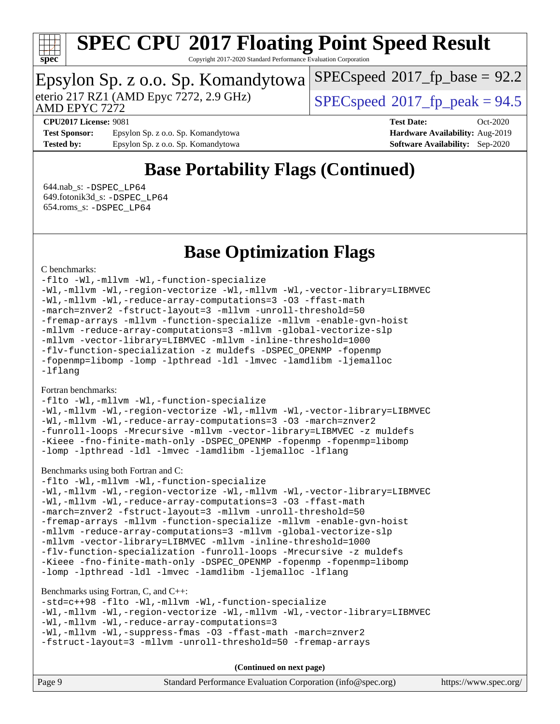

Copyright 2017-2020 Standard Performance Evaluation Corporation

### Epsylon Sp. z o.o. Sp. Komandytowa

AMD EPYC 7272 eterio 217 RZ1 (AMD Epyc 7272, 2.9 GHz)  $\qquad \qquad$  [SPECspeed](http://www.spec.org/auto/cpu2017/Docs/result-fields.html#SPECspeed2017fppeak)®[2017\\_fp\\_peak = 9](http://www.spec.org/auto/cpu2017/Docs/result-fields.html#SPECspeed2017fppeak)4.5

 $SPECspeed*2017_fp\_base = 92.2$  $SPECspeed*2017_fp\_base = 92.2$ 

**[Test Sponsor:](http://www.spec.org/auto/cpu2017/Docs/result-fields.html#TestSponsor)** Epsylon Sp. z o.o. Sp. Komandytowa **[Hardware Availability:](http://www.spec.org/auto/cpu2017/Docs/result-fields.html#HardwareAvailability)** Aug-2019 **[Tested by:](http://www.spec.org/auto/cpu2017/Docs/result-fields.html#Testedby)** Epsylon Sp. z o.o. Sp. Komandytowa **[Software Availability:](http://www.spec.org/auto/cpu2017/Docs/result-fields.html#SoftwareAvailability)** Sep-2020

**[CPU2017 License:](http://www.spec.org/auto/cpu2017/Docs/result-fields.html#CPU2017License)** 9081 **[Test Date:](http://www.spec.org/auto/cpu2017/Docs/result-fields.html#TestDate)** Oct-2020

### **[Base Portability Flags \(Continued\)](http://www.spec.org/auto/cpu2017/Docs/result-fields.html#BasePortabilityFlags)**

 644.nab\_s: [-DSPEC\\_LP64](http://www.spec.org/cpu2017/results/res2020q4/cpu2017-20201026-24256.flags.html#suite_baseEXTRA_PORTABILITY644_nab_s_DSPEC_LP64) 649.fotonik3d\_s: [-DSPEC\\_LP64](http://www.spec.org/cpu2017/results/res2020q4/cpu2017-20201026-24256.flags.html#suite_baseEXTRA_PORTABILITY649_fotonik3d_s_DSPEC_LP64) 654.roms\_s: [-DSPEC\\_LP64](http://www.spec.org/cpu2017/results/res2020q4/cpu2017-20201026-24256.flags.html#suite_baseEXTRA_PORTABILITY654_roms_s_DSPEC_LP64)

### **[Base Optimization Flags](http://www.spec.org/auto/cpu2017/Docs/result-fields.html#BaseOptimizationFlags)**

#### [C benchmarks](http://www.spec.org/auto/cpu2017/Docs/result-fields.html#Cbenchmarks):

[-flto](http://www.spec.org/cpu2017/results/res2020q4/cpu2017-20201026-24256.flags.html#user_CCbase_aocc-flto) [-Wl,-mllvm -Wl,-function-specialize](http://www.spec.org/cpu2017/results/res2020q4/cpu2017-20201026-24256.flags.html#user_CCbase_F-function-specialize_7e7e661e57922243ee67c9a1251cb8910e607325179a0ce7f2884e09a6f5d4a5ef0ae4f37e8a2a11c95fc48e931f06dc2b6016f14b511fcb441e048bef1b065a) [-Wl,-mllvm -Wl,-region-vectorize](http://www.spec.org/cpu2017/results/res2020q4/cpu2017-20201026-24256.flags.html#user_CCbase_F-region-vectorize_fb6c6b5aa293c88efc6c7c2b52b20755e943585b1fe8658c35afef78727fff56e1a56891413c30e36b8e2a6f9a71126986319243e80eb6110b78b288f533c52b) [-Wl,-mllvm -Wl,-vector-library=LIBMVEC](http://www.spec.org/cpu2017/results/res2020q4/cpu2017-20201026-24256.flags.html#user_CCbase_F-use-vector-library_0a14b27fae317f283640384a31f7bfcc2bd4c1d0b5cfc618a3a430800c9b20217b00f61303eff223a3251b4f06ffbc9739dc5296db9d1fbb9ad24a3939d86d66) [-Wl,-mllvm -Wl,-reduce-array-computations=3](http://www.spec.org/cpu2017/results/res2020q4/cpu2017-20201026-24256.flags.html#user_CCbase_F-reduce-array-computations_b882aefe7a5dda4e33149f6299762b9a720dace3e498e13756f4c04e5a19edf5315c1f3993de2e61ec41e8c206231f84e05da7040e1bb5d69ba27d10a12507e4) [-O3](http://www.spec.org/cpu2017/results/res2020q4/cpu2017-20201026-24256.flags.html#user_CCbase_F-O3) [-ffast-math](http://www.spec.org/cpu2017/results/res2020q4/cpu2017-20201026-24256.flags.html#user_CCbase_aocc-ffast-math) [-march=znver2](http://www.spec.org/cpu2017/results/res2020q4/cpu2017-20201026-24256.flags.html#user_CCbase_aocc-march_3e2e19cff2eeef60c5d90b059483627c9ea47eca6d66670dbd53f9185f6439e27eb5e104cf773e9e8ab18c8842ce63e461a3e948d0214bd567ef3ade411bf467) [-fstruct-layout=3](http://www.spec.org/cpu2017/results/res2020q4/cpu2017-20201026-24256.flags.html#user_CCbase_F-struct-layout) [-mllvm -unroll-threshold=50](http://www.spec.org/cpu2017/results/res2020q4/cpu2017-20201026-24256.flags.html#user_CCbase_F-unroll-threshold_458874500b2c105d6d5cb4d7a611c40e2b16e9e3d26b355fea72d644c3673b4de4b3932662f0ed3dbec75c491a13da2d2ca81180bd779dc531083ef1e1e549dc) [-fremap-arrays](http://www.spec.org/cpu2017/results/res2020q4/cpu2017-20201026-24256.flags.html#user_CCbase_F-fremap-arrays) [-mllvm -function-specialize](http://www.spec.org/cpu2017/results/res2020q4/cpu2017-20201026-24256.flags.html#user_CCbase_F-function-specialize_233b3bdba86027f1b094368157e481c5bc59f40286dc25bfadc1858dcd5745c24fd30d5f188710db7fea399bcc9f44a80b3ce3aacc70a8870250c3ae5e1f35b8) [-mllvm -enable-gvn-hoist](http://www.spec.org/cpu2017/results/res2020q4/cpu2017-20201026-24256.flags.html#user_CCbase_F-enable-gvn-hoist_e5856354646dd6ca1333a0ad99b817e4cf8932b91b82809fd8fd47ceff7b22a89eba5c98fd3e3fa5200368fd772cec3dd56abc3c8f7b655a71b9f9848dddedd5) [-mllvm -reduce-array-computations=3](http://www.spec.org/cpu2017/results/res2020q4/cpu2017-20201026-24256.flags.html#user_CCbase_F-reduce-array-computations_aceadb8604558b566e0e3a0d7a3c1533923dd1fa0889614e16288028922629a28d5695c24d3b3be4306b1e311c54317dfffe3a2e57fbcaabc737a1798de39145) [-mllvm -global-vectorize-slp](http://www.spec.org/cpu2017/results/res2020q4/cpu2017-20201026-24256.flags.html#user_CCbase_F-global-vectorize-slp_a3935e8627af4ced727033b1ffd4db27f4d541a363d28d82bf4c2925fb3a0fd4115d6e42d13a2829f9e024d6608eb67a85cb49770f2da5c5ac8dbc737afad603) [-mllvm -vector-library=LIBMVEC](http://www.spec.org/cpu2017/results/res2020q4/cpu2017-20201026-24256.flags.html#user_CCbase_F-use-vector-library_e584e20b4f7ec96aa109254b65d8e01d864f3d68580371b9d93ed7c338191d4cfce20c3c864632264effc6bbe4c7c38153d02096a342ee92501c4a53204a7871) [-mllvm -inline-threshold=1000](http://www.spec.org/cpu2017/results/res2020q4/cpu2017-20201026-24256.flags.html#user_CCbase_dragonegg-llvm-inline-threshold_b7832241b0a6397e4ecdbaf0eb7defdc10f885c2a282fa3240fdc99844d543fda39cf8a4a9dccf68cf19b5438ac3b455264f478df15da0f4988afa40d8243bab) [-flv-function-specialization](http://www.spec.org/cpu2017/results/res2020q4/cpu2017-20201026-24256.flags.html#user_CCbase_F-flv-function-specialization) [-z muldefs](http://www.spec.org/cpu2017/results/res2020q4/cpu2017-20201026-24256.flags.html#user_CCbase_aocc-muldefs) [-DSPEC\\_OPENMP](http://www.spec.org/cpu2017/results/res2020q4/cpu2017-20201026-24256.flags.html#suite_CCbase_DSPEC_OPENMP) [-fopenmp](http://www.spec.org/cpu2017/results/res2020q4/cpu2017-20201026-24256.flags.html#user_CCbase_aocc-fopenmp) [-fopenmp=libomp](http://www.spec.org/cpu2017/results/res2020q4/cpu2017-20201026-24256.flags.html#user_CCbase_aocc-fopenmp_3eb6ab80166bcc84161ff8c20c8d5bc344f88119f45620444596454f7d72e99b7a0ceefc2d1b4d190bd07306bbfdfc20f11f5a2dc69c9b03c72239f8406741c3) [-lomp](http://www.spec.org/cpu2017/results/res2020q4/cpu2017-20201026-24256.flags.html#user_CCbase_F-lomp) [-lpthread](http://www.spec.org/cpu2017/results/res2020q4/cpu2017-20201026-24256.flags.html#user_CCbase_F-lpthread) [-ldl](http://www.spec.org/cpu2017/results/res2020q4/cpu2017-20201026-24256.flags.html#user_CCbase_F-ldl) [-lmvec](http://www.spec.org/cpu2017/results/res2020q4/cpu2017-20201026-24256.flags.html#user_CCbase_F-lmvec) [-lamdlibm](http://www.spec.org/cpu2017/results/res2020q4/cpu2017-20201026-24256.flags.html#user_CCbase_F-lamdlibm) [-ljemalloc](http://www.spec.org/cpu2017/results/res2020q4/cpu2017-20201026-24256.flags.html#user_CCbase_jemalloc-lib) [-lflang](http://www.spec.org/cpu2017/results/res2020q4/cpu2017-20201026-24256.flags.html#user_CCbase_F-lflang)

#### [Fortran benchmarks](http://www.spec.org/auto/cpu2017/Docs/result-fields.html#Fortranbenchmarks):

[-flto](http://www.spec.org/cpu2017/results/res2020q4/cpu2017-20201026-24256.flags.html#user_FCbase_aocc-flto) [-Wl,-mllvm -Wl,-function-specialize](http://www.spec.org/cpu2017/results/res2020q4/cpu2017-20201026-24256.flags.html#user_FCbase_F-function-specialize_7e7e661e57922243ee67c9a1251cb8910e607325179a0ce7f2884e09a6f5d4a5ef0ae4f37e8a2a11c95fc48e931f06dc2b6016f14b511fcb441e048bef1b065a) [-Wl,-mllvm -Wl,-region-vectorize](http://www.spec.org/cpu2017/results/res2020q4/cpu2017-20201026-24256.flags.html#user_FCbase_F-region-vectorize_fb6c6b5aa293c88efc6c7c2b52b20755e943585b1fe8658c35afef78727fff56e1a56891413c30e36b8e2a6f9a71126986319243e80eb6110b78b288f533c52b) [-Wl,-mllvm -Wl,-vector-library=LIBMVEC](http://www.spec.org/cpu2017/results/res2020q4/cpu2017-20201026-24256.flags.html#user_FCbase_F-use-vector-library_0a14b27fae317f283640384a31f7bfcc2bd4c1d0b5cfc618a3a430800c9b20217b00f61303eff223a3251b4f06ffbc9739dc5296db9d1fbb9ad24a3939d86d66) [-Wl,-mllvm -Wl,-reduce-array-computations=3](http://www.spec.org/cpu2017/results/res2020q4/cpu2017-20201026-24256.flags.html#user_FCbase_F-reduce-array-computations_b882aefe7a5dda4e33149f6299762b9a720dace3e498e13756f4c04e5a19edf5315c1f3993de2e61ec41e8c206231f84e05da7040e1bb5d69ba27d10a12507e4) [-O3](http://www.spec.org/cpu2017/results/res2020q4/cpu2017-20201026-24256.flags.html#user_FCbase_F-O3) [-march=znver2](http://www.spec.org/cpu2017/results/res2020q4/cpu2017-20201026-24256.flags.html#user_FCbase_aocc-march_3e2e19cff2eeef60c5d90b059483627c9ea47eca6d66670dbd53f9185f6439e27eb5e104cf773e9e8ab18c8842ce63e461a3e948d0214bd567ef3ade411bf467) [-funroll-loops](http://www.spec.org/cpu2017/results/res2020q4/cpu2017-20201026-24256.flags.html#user_FCbase_aocc-unroll-loops) [-Mrecursive](http://www.spec.org/cpu2017/results/res2020q4/cpu2017-20201026-24256.flags.html#user_FCbase_F-mrecursive_20a145d63f12d5750a899e17d4450b5b8b40330a9bb4af13688ca650e6fb30857bbbe44fb35cdbb895df6e5b2769de0a0d7659f51ff17acfbef6febafec4023f) [-mllvm -vector-library=LIBMVEC](http://www.spec.org/cpu2017/results/res2020q4/cpu2017-20201026-24256.flags.html#user_FCbase_F-use-vector-library_e584e20b4f7ec96aa109254b65d8e01d864f3d68580371b9d93ed7c338191d4cfce20c3c864632264effc6bbe4c7c38153d02096a342ee92501c4a53204a7871) [-z muldefs](http://www.spec.org/cpu2017/results/res2020q4/cpu2017-20201026-24256.flags.html#user_FCbase_aocc-muldefs) [-Kieee](http://www.spec.org/cpu2017/results/res2020q4/cpu2017-20201026-24256.flags.html#user_FCbase_F-kieee) [-fno-finite-math-only](http://www.spec.org/cpu2017/results/res2020q4/cpu2017-20201026-24256.flags.html#user_FCbase_aocc-fno-finite-math-only) [-DSPEC\\_OPENMP](http://www.spec.org/cpu2017/results/res2020q4/cpu2017-20201026-24256.flags.html#suite_FCbase_DSPEC_OPENMP) [-fopenmp](http://www.spec.org/cpu2017/results/res2020q4/cpu2017-20201026-24256.flags.html#user_FCbase_aocc-fopenmp) [-fopenmp=libomp](http://www.spec.org/cpu2017/results/res2020q4/cpu2017-20201026-24256.flags.html#user_FCbase_aocc-fopenmp_3eb6ab80166bcc84161ff8c20c8d5bc344f88119f45620444596454f7d72e99b7a0ceefc2d1b4d190bd07306bbfdfc20f11f5a2dc69c9b03c72239f8406741c3) [-lomp](http://www.spec.org/cpu2017/results/res2020q4/cpu2017-20201026-24256.flags.html#user_FCbase_F-lomp) [-lpthread](http://www.spec.org/cpu2017/results/res2020q4/cpu2017-20201026-24256.flags.html#user_FCbase_F-lpthread) [-ldl](http://www.spec.org/cpu2017/results/res2020q4/cpu2017-20201026-24256.flags.html#user_FCbase_F-ldl) [-lmvec](http://www.spec.org/cpu2017/results/res2020q4/cpu2017-20201026-24256.flags.html#user_FCbase_F-lmvec) [-lamdlibm](http://www.spec.org/cpu2017/results/res2020q4/cpu2017-20201026-24256.flags.html#user_FCbase_F-lamdlibm) [-ljemalloc](http://www.spec.org/cpu2017/results/res2020q4/cpu2017-20201026-24256.flags.html#user_FCbase_jemalloc-lib) [-lflang](http://www.spec.org/cpu2017/results/res2020q4/cpu2017-20201026-24256.flags.html#user_FCbase_F-lflang)

#### [Benchmarks using both Fortran and C](http://www.spec.org/auto/cpu2017/Docs/result-fields.html#BenchmarksusingbothFortranandC):

[-flto](http://www.spec.org/cpu2017/results/res2020q4/cpu2017-20201026-24256.flags.html#user_CC_FCbase_aocc-flto) [-Wl,-mllvm -Wl,-function-specialize](http://www.spec.org/cpu2017/results/res2020q4/cpu2017-20201026-24256.flags.html#user_CC_FCbase_F-function-specialize_7e7e661e57922243ee67c9a1251cb8910e607325179a0ce7f2884e09a6f5d4a5ef0ae4f37e8a2a11c95fc48e931f06dc2b6016f14b511fcb441e048bef1b065a) [-Wl,-mllvm -Wl,-region-vectorize](http://www.spec.org/cpu2017/results/res2020q4/cpu2017-20201026-24256.flags.html#user_CC_FCbase_F-region-vectorize_fb6c6b5aa293c88efc6c7c2b52b20755e943585b1fe8658c35afef78727fff56e1a56891413c30e36b8e2a6f9a71126986319243e80eb6110b78b288f533c52b) [-Wl,-mllvm -Wl,-vector-library=LIBMVEC](http://www.spec.org/cpu2017/results/res2020q4/cpu2017-20201026-24256.flags.html#user_CC_FCbase_F-use-vector-library_0a14b27fae317f283640384a31f7bfcc2bd4c1d0b5cfc618a3a430800c9b20217b00f61303eff223a3251b4f06ffbc9739dc5296db9d1fbb9ad24a3939d86d66) [-Wl,-mllvm -Wl,-reduce-array-computations=3](http://www.spec.org/cpu2017/results/res2020q4/cpu2017-20201026-24256.flags.html#user_CC_FCbase_F-reduce-array-computations_b882aefe7a5dda4e33149f6299762b9a720dace3e498e13756f4c04e5a19edf5315c1f3993de2e61ec41e8c206231f84e05da7040e1bb5d69ba27d10a12507e4) [-O3](http://www.spec.org/cpu2017/results/res2020q4/cpu2017-20201026-24256.flags.html#user_CC_FCbase_F-O3) [-ffast-math](http://www.spec.org/cpu2017/results/res2020q4/cpu2017-20201026-24256.flags.html#user_CC_FCbase_aocc-ffast-math) [-march=znver2](http://www.spec.org/cpu2017/results/res2020q4/cpu2017-20201026-24256.flags.html#user_CC_FCbase_aocc-march_3e2e19cff2eeef60c5d90b059483627c9ea47eca6d66670dbd53f9185f6439e27eb5e104cf773e9e8ab18c8842ce63e461a3e948d0214bd567ef3ade411bf467) [-fstruct-layout=3](http://www.spec.org/cpu2017/results/res2020q4/cpu2017-20201026-24256.flags.html#user_CC_FCbase_F-struct-layout) [-mllvm -unroll-threshold=50](http://www.spec.org/cpu2017/results/res2020q4/cpu2017-20201026-24256.flags.html#user_CC_FCbase_F-unroll-threshold_458874500b2c105d6d5cb4d7a611c40e2b16e9e3d26b355fea72d644c3673b4de4b3932662f0ed3dbec75c491a13da2d2ca81180bd779dc531083ef1e1e549dc) [-fremap-arrays](http://www.spec.org/cpu2017/results/res2020q4/cpu2017-20201026-24256.flags.html#user_CC_FCbase_F-fremap-arrays) [-mllvm -function-specialize](http://www.spec.org/cpu2017/results/res2020q4/cpu2017-20201026-24256.flags.html#user_CC_FCbase_F-function-specialize_233b3bdba86027f1b094368157e481c5bc59f40286dc25bfadc1858dcd5745c24fd30d5f188710db7fea399bcc9f44a80b3ce3aacc70a8870250c3ae5e1f35b8) [-mllvm -enable-gvn-hoist](http://www.spec.org/cpu2017/results/res2020q4/cpu2017-20201026-24256.flags.html#user_CC_FCbase_F-enable-gvn-hoist_e5856354646dd6ca1333a0ad99b817e4cf8932b91b82809fd8fd47ceff7b22a89eba5c98fd3e3fa5200368fd772cec3dd56abc3c8f7b655a71b9f9848dddedd5) [-mllvm -reduce-array-computations=3](http://www.spec.org/cpu2017/results/res2020q4/cpu2017-20201026-24256.flags.html#user_CC_FCbase_F-reduce-array-computations_aceadb8604558b566e0e3a0d7a3c1533923dd1fa0889614e16288028922629a28d5695c24d3b3be4306b1e311c54317dfffe3a2e57fbcaabc737a1798de39145) [-mllvm -global-vectorize-slp](http://www.spec.org/cpu2017/results/res2020q4/cpu2017-20201026-24256.flags.html#user_CC_FCbase_F-global-vectorize-slp_a3935e8627af4ced727033b1ffd4db27f4d541a363d28d82bf4c2925fb3a0fd4115d6e42d13a2829f9e024d6608eb67a85cb49770f2da5c5ac8dbc737afad603) [-mllvm -vector-library=LIBMVEC](http://www.spec.org/cpu2017/results/res2020q4/cpu2017-20201026-24256.flags.html#user_CC_FCbase_F-use-vector-library_e584e20b4f7ec96aa109254b65d8e01d864f3d68580371b9d93ed7c338191d4cfce20c3c864632264effc6bbe4c7c38153d02096a342ee92501c4a53204a7871) [-mllvm -inline-threshold=1000](http://www.spec.org/cpu2017/results/res2020q4/cpu2017-20201026-24256.flags.html#user_CC_FCbase_dragonegg-llvm-inline-threshold_b7832241b0a6397e4ecdbaf0eb7defdc10f885c2a282fa3240fdc99844d543fda39cf8a4a9dccf68cf19b5438ac3b455264f478df15da0f4988afa40d8243bab) [-flv-function-specialization](http://www.spec.org/cpu2017/results/res2020q4/cpu2017-20201026-24256.flags.html#user_CC_FCbase_F-flv-function-specialization) [-funroll-loops](http://www.spec.org/cpu2017/results/res2020q4/cpu2017-20201026-24256.flags.html#user_CC_FCbase_aocc-unroll-loops) [-Mrecursive](http://www.spec.org/cpu2017/results/res2020q4/cpu2017-20201026-24256.flags.html#user_CC_FCbase_F-mrecursive_20a145d63f12d5750a899e17d4450b5b8b40330a9bb4af13688ca650e6fb30857bbbe44fb35cdbb895df6e5b2769de0a0d7659f51ff17acfbef6febafec4023f) [-z muldefs](http://www.spec.org/cpu2017/results/res2020q4/cpu2017-20201026-24256.flags.html#user_CC_FCbase_aocc-muldefs) [-Kieee](http://www.spec.org/cpu2017/results/res2020q4/cpu2017-20201026-24256.flags.html#user_CC_FCbase_F-kieee) [-fno-finite-math-only](http://www.spec.org/cpu2017/results/res2020q4/cpu2017-20201026-24256.flags.html#user_CC_FCbase_aocc-fno-finite-math-only) [-DSPEC\\_OPENMP](http://www.spec.org/cpu2017/results/res2020q4/cpu2017-20201026-24256.flags.html#suite_CC_FCbase_DSPEC_OPENMP) [-fopenmp](http://www.spec.org/cpu2017/results/res2020q4/cpu2017-20201026-24256.flags.html#user_CC_FCbase_aocc-fopenmp) [-fopenmp=libomp](http://www.spec.org/cpu2017/results/res2020q4/cpu2017-20201026-24256.flags.html#user_CC_FCbase_aocc-fopenmp_3eb6ab80166bcc84161ff8c20c8d5bc344f88119f45620444596454f7d72e99b7a0ceefc2d1b4d190bd07306bbfdfc20f11f5a2dc69c9b03c72239f8406741c3) [-lomp](http://www.spec.org/cpu2017/results/res2020q4/cpu2017-20201026-24256.flags.html#user_CC_FCbase_F-lomp) [-lpthread](http://www.spec.org/cpu2017/results/res2020q4/cpu2017-20201026-24256.flags.html#user_CC_FCbase_F-lpthread) [-ldl](http://www.spec.org/cpu2017/results/res2020q4/cpu2017-20201026-24256.flags.html#user_CC_FCbase_F-ldl) [-lmvec](http://www.spec.org/cpu2017/results/res2020q4/cpu2017-20201026-24256.flags.html#user_CC_FCbase_F-lmvec) [-lamdlibm](http://www.spec.org/cpu2017/results/res2020q4/cpu2017-20201026-24256.flags.html#user_CC_FCbase_F-lamdlibm) [-ljemalloc](http://www.spec.org/cpu2017/results/res2020q4/cpu2017-20201026-24256.flags.html#user_CC_FCbase_jemalloc-lib) [-lflang](http://www.spec.org/cpu2017/results/res2020q4/cpu2017-20201026-24256.flags.html#user_CC_FCbase_F-lflang)

#### [Benchmarks using Fortran, C, and C++:](http://www.spec.org/auto/cpu2017/Docs/result-fields.html#BenchmarksusingFortranCandCXX)

[-std=c++98](http://www.spec.org/cpu2017/results/res2020q4/cpu2017-20201026-24256.flags.html#user_CC_CXX_FCbase_std-cpp) [-flto](http://www.spec.org/cpu2017/results/res2020q4/cpu2017-20201026-24256.flags.html#user_CC_CXX_FCbase_aocc-flto) [-Wl,-mllvm -Wl,-function-specialize](http://www.spec.org/cpu2017/results/res2020q4/cpu2017-20201026-24256.flags.html#user_CC_CXX_FCbase_F-function-specialize_7e7e661e57922243ee67c9a1251cb8910e607325179a0ce7f2884e09a6f5d4a5ef0ae4f37e8a2a11c95fc48e931f06dc2b6016f14b511fcb441e048bef1b065a) [-Wl,-mllvm -Wl,-region-vectorize](http://www.spec.org/cpu2017/results/res2020q4/cpu2017-20201026-24256.flags.html#user_CC_CXX_FCbase_F-region-vectorize_fb6c6b5aa293c88efc6c7c2b52b20755e943585b1fe8658c35afef78727fff56e1a56891413c30e36b8e2a6f9a71126986319243e80eb6110b78b288f533c52b) [-Wl,-mllvm -Wl,-vector-library=LIBMVEC](http://www.spec.org/cpu2017/results/res2020q4/cpu2017-20201026-24256.flags.html#user_CC_CXX_FCbase_F-use-vector-library_0a14b27fae317f283640384a31f7bfcc2bd4c1d0b5cfc618a3a430800c9b20217b00f61303eff223a3251b4f06ffbc9739dc5296db9d1fbb9ad24a3939d86d66) [-Wl,-mllvm -Wl,-reduce-array-computations=3](http://www.spec.org/cpu2017/results/res2020q4/cpu2017-20201026-24256.flags.html#user_CC_CXX_FCbase_F-reduce-array-computations_b882aefe7a5dda4e33149f6299762b9a720dace3e498e13756f4c04e5a19edf5315c1f3993de2e61ec41e8c206231f84e05da7040e1bb5d69ba27d10a12507e4) [-Wl,-mllvm -Wl,-suppress-fmas](http://www.spec.org/cpu2017/results/res2020q4/cpu2017-20201026-24256.flags.html#user_CC_CXX_FCbase_F-suppress-fmas_f00f00630e4a059e8af9c161e9bbf420bcf19890a7f99d5933525e66aa4b0bb3ab2339d2b12d97d3a5f5d271e839fe9c109938e91fe06230fb53651590cfa1e8) [-O3](http://www.spec.org/cpu2017/results/res2020q4/cpu2017-20201026-24256.flags.html#user_CC_CXX_FCbase_F-O3) [-ffast-math](http://www.spec.org/cpu2017/results/res2020q4/cpu2017-20201026-24256.flags.html#user_CC_CXX_FCbase_aocc-ffast-math) [-march=znver2](http://www.spec.org/cpu2017/results/res2020q4/cpu2017-20201026-24256.flags.html#user_CC_CXX_FCbase_aocc-march_3e2e19cff2eeef60c5d90b059483627c9ea47eca6d66670dbd53f9185f6439e27eb5e104cf773e9e8ab18c8842ce63e461a3e948d0214bd567ef3ade411bf467) [-fstruct-layout=3](http://www.spec.org/cpu2017/results/res2020q4/cpu2017-20201026-24256.flags.html#user_CC_CXX_FCbase_F-struct-layout) [-mllvm -unroll-threshold=50](http://www.spec.org/cpu2017/results/res2020q4/cpu2017-20201026-24256.flags.html#user_CC_CXX_FCbase_F-unroll-threshold_458874500b2c105d6d5cb4d7a611c40e2b16e9e3d26b355fea72d644c3673b4de4b3932662f0ed3dbec75c491a13da2d2ca81180bd779dc531083ef1e1e549dc) [-fremap-arrays](http://www.spec.org/cpu2017/results/res2020q4/cpu2017-20201026-24256.flags.html#user_CC_CXX_FCbase_F-fremap-arrays)

**(Continued on next page)**

| Page 9<br>Standard Performance Evaluation Corporation (info@spec.org)<br>https://www.spec.org/ |
|------------------------------------------------------------------------------------------------|
|------------------------------------------------------------------------------------------------|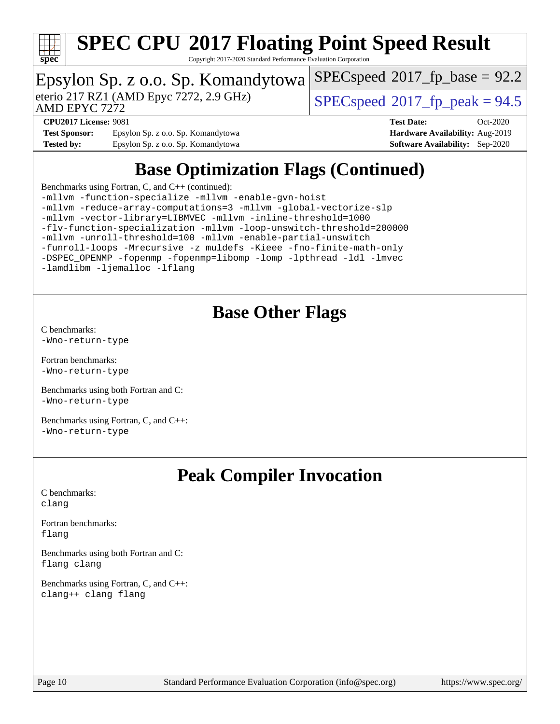

Copyright 2017-2020 Standard Performance Evaluation Corporation

### Epsylon Sp. z o.o. Sp. Komandytowa

AMD EPYC 7272

eterio 217 RZ1 (AMD Epyc 7272, 2.9 GHz)  $\text{SPEC speed}$  2017 fp\_peak = 94.5

 $SPECspeed^{\circledcirc}2017\_fp\_base = 92.2$  $SPECspeed^{\circledcirc}2017\_fp\_base = 92.2$ 

**[Test Sponsor:](http://www.spec.org/auto/cpu2017/Docs/result-fields.html#TestSponsor)** Epsylon Sp. z o.o. Sp. Komandytowa **[Hardware Availability:](http://www.spec.org/auto/cpu2017/Docs/result-fields.html#HardwareAvailability)** Aug-2019 **[Tested by:](http://www.spec.org/auto/cpu2017/Docs/result-fields.html#Testedby)** Epsylon Sp. z o.o. Sp. Komandytowa **[Software Availability:](http://www.spec.org/auto/cpu2017/Docs/result-fields.html#SoftwareAvailability)** Sep-2020

**[CPU2017 License:](http://www.spec.org/auto/cpu2017/Docs/result-fields.html#CPU2017License)** 9081 **[Test Date:](http://www.spec.org/auto/cpu2017/Docs/result-fields.html#TestDate)** Oct-2020

### **[Base Optimization Flags \(Continued\)](http://www.spec.org/auto/cpu2017/Docs/result-fields.html#BaseOptimizationFlags)**

[Benchmarks using Fortran, C, and C++](http://www.spec.org/auto/cpu2017/Docs/result-fields.html#BenchmarksusingFortranCandCXX) (continued):

[-mllvm -function-specialize](http://www.spec.org/cpu2017/results/res2020q4/cpu2017-20201026-24256.flags.html#user_CC_CXX_FCbase_F-function-specialize_233b3bdba86027f1b094368157e481c5bc59f40286dc25bfadc1858dcd5745c24fd30d5f188710db7fea399bcc9f44a80b3ce3aacc70a8870250c3ae5e1f35b8) [-mllvm -enable-gvn-hoist](http://www.spec.org/cpu2017/results/res2020q4/cpu2017-20201026-24256.flags.html#user_CC_CXX_FCbase_F-enable-gvn-hoist_e5856354646dd6ca1333a0ad99b817e4cf8932b91b82809fd8fd47ceff7b22a89eba5c98fd3e3fa5200368fd772cec3dd56abc3c8f7b655a71b9f9848dddedd5)

[-mllvm -reduce-array-computations=3](http://www.spec.org/cpu2017/results/res2020q4/cpu2017-20201026-24256.flags.html#user_CC_CXX_FCbase_F-reduce-array-computations_aceadb8604558b566e0e3a0d7a3c1533923dd1fa0889614e16288028922629a28d5695c24d3b3be4306b1e311c54317dfffe3a2e57fbcaabc737a1798de39145) [-mllvm -global-vectorize-slp](http://www.spec.org/cpu2017/results/res2020q4/cpu2017-20201026-24256.flags.html#user_CC_CXX_FCbase_F-global-vectorize-slp_a3935e8627af4ced727033b1ffd4db27f4d541a363d28d82bf4c2925fb3a0fd4115d6e42d13a2829f9e024d6608eb67a85cb49770f2da5c5ac8dbc737afad603)

[-mllvm -vector-library=LIBMVEC](http://www.spec.org/cpu2017/results/res2020q4/cpu2017-20201026-24256.flags.html#user_CC_CXX_FCbase_F-use-vector-library_e584e20b4f7ec96aa109254b65d8e01d864f3d68580371b9d93ed7c338191d4cfce20c3c864632264effc6bbe4c7c38153d02096a342ee92501c4a53204a7871) [-mllvm -inline-threshold=1000](http://www.spec.org/cpu2017/results/res2020q4/cpu2017-20201026-24256.flags.html#user_CC_CXX_FCbase_dragonegg-llvm-inline-threshold_b7832241b0a6397e4ecdbaf0eb7defdc10f885c2a282fa3240fdc99844d543fda39cf8a4a9dccf68cf19b5438ac3b455264f478df15da0f4988afa40d8243bab)

[-flv-function-specialization](http://www.spec.org/cpu2017/results/res2020q4/cpu2017-20201026-24256.flags.html#user_CC_CXX_FCbase_F-flv-function-specialization) [-mllvm -loop-unswitch-threshold=200000](http://www.spec.org/cpu2017/results/res2020q4/cpu2017-20201026-24256.flags.html#user_CC_CXX_FCbase_F-loop-unswitch-threshold_f9a82ae3270e55b5fbf79d0d96ee93606b73edbbe527d20b18b7bff1a3a146ad50cfc7454c5297978340ae9213029016a7d16221274d672d3f7f42ed25274e1d)

[-mllvm -unroll-threshold=100](http://www.spec.org/cpu2017/results/res2020q4/cpu2017-20201026-24256.flags.html#user_CC_CXX_FCbase_F-unroll-threshold_2755d0c78138845d361fa1543e3a063fffa198df9b3edf0cfb856bbc88a81e1769b12ac7a550c5d35197be55360db1a3f95a8d1304df999456cabf5120c45168) [-mllvm -enable-partial-unswitch](http://www.spec.org/cpu2017/results/res2020q4/cpu2017-20201026-24256.flags.html#user_CC_CXX_FCbase_F-enable-partial-unswitch_6e1c33f981d77963b1eaf834973128a7f33ce3f8e27f54689656697a35e89dcc875281e0e6283d043e32f367dcb605ba0e307a92e830f7e326789fa6c61b35d3)

[-funroll-loops](http://www.spec.org/cpu2017/results/res2020q4/cpu2017-20201026-24256.flags.html#user_CC_CXX_FCbase_aocc-unroll-loops) [-Mrecursive](http://www.spec.org/cpu2017/results/res2020q4/cpu2017-20201026-24256.flags.html#user_CC_CXX_FCbase_F-mrecursive_20a145d63f12d5750a899e17d4450b5b8b40330a9bb4af13688ca650e6fb30857bbbe44fb35cdbb895df6e5b2769de0a0d7659f51ff17acfbef6febafec4023f) [-z muldefs](http://www.spec.org/cpu2017/results/res2020q4/cpu2017-20201026-24256.flags.html#user_CC_CXX_FCbase_aocc-muldefs) [-Kieee](http://www.spec.org/cpu2017/results/res2020q4/cpu2017-20201026-24256.flags.html#user_CC_CXX_FCbase_F-kieee) [-fno-finite-math-only](http://www.spec.org/cpu2017/results/res2020q4/cpu2017-20201026-24256.flags.html#user_CC_CXX_FCbase_aocc-fno-finite-math-only)

[-DSPEC\\_OPENMP](http://www.spec.org/cpu2017/results/res2020q4/cpu2017-20201026-24256.flags.html#suite_CC_CXX_FCbase_DSPEC_OPENMP) [-fopenmp](http://www.spec.org/cpu2017/results/res2020q4/cpu2017-20201026-24256.flags.html#user_CC_CXX_FCbase_aocc-fopenmp) [-fopenmp=libomp](http://www.spec.org/cpu2017/results/res2020q4/cpu2017-20201026-24256.flags.html#user_CC_CXX_FCbase_aocc-fopenmp_3eb6ab80166bcc84161ff8c20c8d5bc344f88119f45620444596454f7d72e99b7a0ceefc2d1b4d190bd07306bbfdfc20f11f5a2dc69c9b03c72239f8406741c3) [-lomp](http://www.spec.org/cpu2017/results/res2020q4/cpu2017-20201026-24256.flags.html#user_CC_CXX_FCbase_F-lomp) [-lpthread](http://www.spec.org/cpu2017/results/res2020q4/cpu2017-20201026-24256.flags.html#user_CC_CXX_FCbase_F-lpthread) [-ldl](http://www.spec.org/cpu2017/results/res2020q4/cpu2017-20201026-24256.flags.html#user_CC_CXX_FCbase_F-ldl) [-lmvec](http://www.spec.org/cpu2017/results/res2020q4/cpu2017-20201026-24256.flags.html#user_CC_CXX_FCbase_F-lmvec) [-lamdlibm](http://www.spec.org/cpu2017/results/res2020q4/cpu2017-20201026-24256.flags.html#user_CC_CXX_FCbase_F-lamdlibm) [-ljemalloc](http://www.spec.org/cpu2017/results/res2020q4/cpu2017-20201026-24256.flags.html#user_CC_CXX_FCbase_jemalloc-lib) [-lflang](http://www.spec.org/cpu2017/results/res2020q4/cpu2017-20201026-24256.flags.html#user_CC_CXX_FCbase_F-lflang)

### **[Base Other Flags](http://www.spec.org/auto/cpu2017/Docs/result-fields.html#BaseOtherFlags)**

[C benchmarks](http://www.spec.org/auto/cpu2017/Docs/result-fields.html#Cbenchmarks): [-Wno-return-type](http://www.spec.org/cpu2017/results/res2020q4/cpu2017-20201026-24256.flags.html#user_CCbase_F-Waocc-no-return-type)

[Fortran benchmarks](http://www.spec.org/auto/cpu2017/Docs/result-fields.html#Fortranbenchmarks): [-Wno-return-type](http://www.spec.org/cpu2017/results/res2020q4/cpu2017-20201026-24256.flags.html#user_FCbase_F-Waocc-no-return-type)

[Benchmarks using both Fortran and C](http://www.spec.org/auto/cpu2017/Docs/result-fields.html#BenchmarksusingbothFortranandC): [-Wno-return-type](http://www.spec.org/cpu2017/results/res2020q4/cpu2017-20201026-24256.flags.html#user_CC_FCbase_F-Waocc-no-return-type)

[Benchmarks using Fortran, C, and C++:](http://www.spec.org/auto/cpu2017/Docs/result-fields.html#BenchmarksusingFortranCandCXX) [-Wno-return-type](http://www.spec.org/cpu2017/results/res2020q4/cpu2017-20201026-24256.flags.html#user_CC_CXX_FCbase_F-Waocc-no-return-type)

### **[Peak Compiler Invocation](http://www.spec.org/auto/cpu2017/Docs/result-fields.html#PeakCompilerInvocation)**

[C benchmarks](http://www.spec.org/auto/cpu2017/Docs/result-fields.html#Cbenchmarks): [clang](http://www.spec.org/cpu2017/results/res2020q4/cpu2017-20201026-24256.flags.html#user_CCpeak_clang-c)

[Fortran benchmarks](http://www.spec.org/auto/cpu2017/Docs/result-fields.html#Fortranbenchmarks): [flang](http://www.spec.org/cpu2017/results/res2020q4/cpu2017-20201026-24256.flags.html#user_FCpeak_flang)

[Benchmarks using both Fortran and C](http://www.spec.org/auto/cpu2017/Docs/result-fields.html#BenchmarksusingbothFortranandC): [flang](http://www.spec.org/cpu2017/results/res2020q4/cpu2017-20201026-24256.flags.html#user_CC_FCpeak_flang) [clang](http://www.spec.org/cpu2017/results/res2020q4/cpu2017-20201026-24256.flags.html#user_CC_FCpeak_clang-c)

[Benchmarks using Fortran, C, and C++:](http://www.spec.org/auto/cpu2017/Docs/result-fields.html#BenchmarksusingFortranCandCXX) [clang++](http://www.spec.org/cpu2017/results/res2020q4/cpu2017-20201026-24256.flags.html#user_CC_CXX_FCpeak_clang-cpp) [clang](http://www.spec.org/cpu2017/results/res2020q4/cpu2017-20201026-24256.flags.html#user_CC_CXX_FCpeak_clang-c) [flang](http://www.spec.org/cpu2017/results/res2020q4/cpu2017-20201026-24256.flags.html#user_CC_CXX_FCpeak_flang)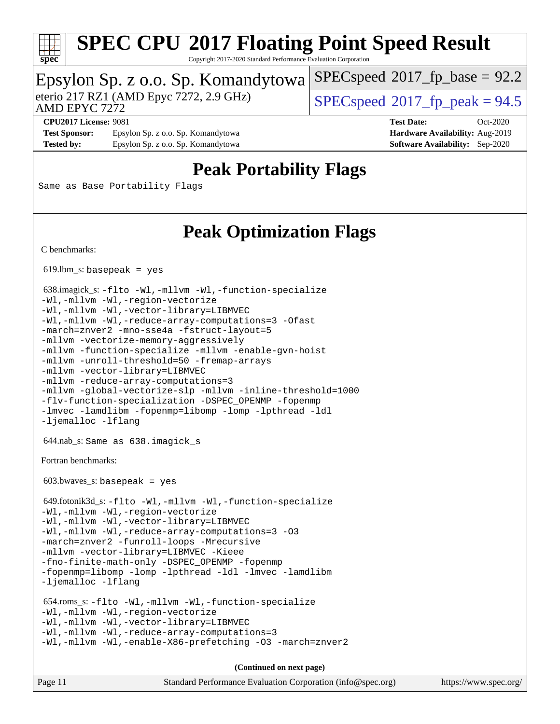

Copyright 2017-2020 Standard Performance Evaluation Corporation

### Epsylon Sp. z o.o. Sp. Komandytowa

AMD EPYC 7272

eterio 217 RZ1 (AMD Epyc 7272, 2.9 GHz)  $\left| \text{SPEC speed} \degree 2017 \text{ fp peak} = 94.5 \right|$ 

 $SPECspeed^{\circledcirc}2017$  $SPECspeed^{\circledcirc}2017$  fp base = 92.2

**[Test Sponsor:](http://www.spec.org/auto/cpu2017/Docs/result-fields.html#TestSponsor)** Epsylon Sp. z o.o. Sp. Komandytowa **[Hardware Availability:](http://www.spec.org/auto/cpu2017/Docs/result-fields.html#HardwareAvailability)** Aug-2019 **[Tested by:](http://www.spec.org/auto/cpu2017/Docs/result-fields.html#Testedby)** Epsylon Sp. z o.o. Sp. Komandytowa **[Software Availability:](http://www.spec.org/auto/cpu2017/Docs/result-fields.html#SoftwareAvailability)** Sep-2020

**[CPU2017 License:](http://www.spec.org/auto/cpu2017/Docs/result-fields.html#CPU2017License)** 9081 **[Test Date:](http://www.spec.org/auto/cpu2017/Docs/result-fields.html#TestDate)** Oct-2020

### **[Peak Portability Flags](http://www.spec.org/auto/cpu2017/Docs/result-fields.html#PeakPortabilityFlags)**

Same as Base Portability Flags

### **[Peak Optimization Flags](http://www.spec.org/auto/cpu2017/Docs/result-fields.html#PeakOptimizationFlags)**

[C benchmarks](http://www.spec.org/auto/cpu2017/Docs/result-fields.html#Cbenchmarks):

 $619.$ lbm\_s: basepeak = yes

```
 638.imagick_s: -flto -Wl,-mllvm -Wl,-function-specialize
-Wl,-mllvm -Wl,-region-vectorize
-Wl,-mllvm -Wl,-vector-library=LIBMVEC
-Wl,-mllvm -Wl,-reduce-array-computations=3 -Ofast
-march=znver2 -mno-sse4a -fstruct-layout=5
-mllvm -vectorize-memory-aggressively
-mllvm -function-specialize -mllvm -enable-gvn-hoist
-mllvm -unroll-threshold=50 -fremap-arrays
-mllvm -vector-library=LIBMVEC
-mllvm -reduce-array-computations=3
-mllvm -global-vectorize-slp -mllvm -inline-threshold=1000
-flv-function-specialization -DSPEC_OPENMP -fopenmp
-lmvec -lamdlibm -fopenmp=libomp -lomp -lpthread -ldl
-ljemalloc -lflang
 644.nab_s: Same as 638.imagick_s
Fortran benchmarks: 
603.bwaves s: basepeak = yes
 649.fotonik3d_s: -flto -Wl,-mllvm -Wl,-function-specialize
-Wl,-mllvm -Wl,-region-vectorize
-Wl,-mllvm -Wl,-vector-library=LIBMVEC
-Wl,-mllvm -Wl,-reduce-array-computations=3 -O3
-march=znver2 -funroll-loops -Mrecursive
-mllvm -vector-library=LIBMVEC -Kieee
-fno-finite-math-only -DSPEC_OPENMP -fopenmp
-fopenmp=libomp -lomp -lpthread -ldl -lmvec -lamdlibm
-ljemalloc -lflang
 654.roms_s: -flto -Wl,-mllvm -Wl,-function-specialize
-Wl,-mllvm -Wl,-region-vectorize
-Wl,-mllvm -Wl,-vector-library=LIBMVEC
-Wl,-mllvm -Wl,-reduce-array-computations=3
-Wl,-mllvm -Wl,-enable-X86-prefetching -O3 -march=znver2
                                    (Continued on next page)
```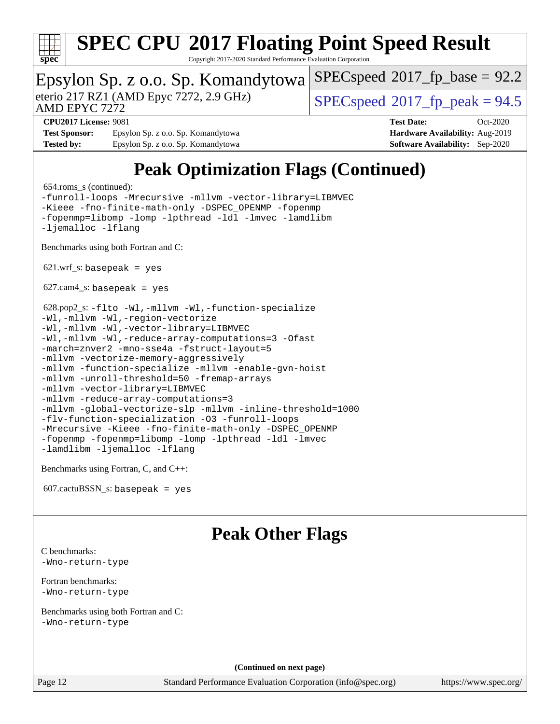

Copyright 2017-2020 Standard Performance Evaluation Corporation

### Epsylon Sp. z o.o. Sp. Komandytowa

eterio 217 RZ1 (AMD Epyc 7272, 2.9 GHz)  $\left| \text{SPEC speed} \degree 2017 \text{ fp peak} = 94.5 \right|$ 

 $SPECspeed^{\circledcirc}2017\_fp\_base = 92.2$  $SPECspeed^{\circledcirc}2017\_fp\_base = 92.2$ 

AMD EPYC 7272

**[CPU2017 License:](http://www.spec.org/auto/cpu2017/Docs/result-fields.html#CPU2017License)** 9081 **[Test Date:](http://www.spec.org/auto/cpu2017/Docs/result-fields.html#TestDate)** Oct-2020 **[Test Sponsor:](http://www.spec.org/auto/cpu2017/Docs/result-fields.html#TestSponsor)** Epsylon Sp. z o.o. Sp. Komandytowa **[Hardware Availability:](http://www.spec.org/auto/cpu2017/Docs/result-fields.html#HardwareAvailability)** Aug-2019 **[Tested by:](http://www.spec.org/auto/cpu2017/Docs/result-fields.html#Testedby)** Epsylon Sp. z o.o. Sp. Komandytowa **[Software Availability:](http://www.spec.org/auto/cpu2017/Docs/result-fields.html#SoftwareAvailability)** Sep-2020

## **[Peak Optimization Flags \(Continued\)](http://www.spec.org/auto/cpu2017/Docs/result-fields.html#PeakOptimizationFlags)**

654.roms\_s (continued):

[-funroll-loops](http://www.spec.org/cpu2017/results/res2020q4/cpu2017-20201026-24256.flags.html#user_peakFOPTIMIZE654_roms_s_aocc-unroll-loops) [-Mrecursive](http://www.spec.org/cpu2017/results/res2020q4/cpu2017-20201026-24256.flags.html#user_peakFOPTIMIZE654_roms_s_F-mrecursive_20a145d63f12d5750a899e17d4450b5b8b40330a9bb4af13688ca650e6fb30857bbbe44fb35cdbb895df6e5b2769de0a0d7659f51ff17acfbef6febafec4023f) [-mllvm -vector-library=LIBMVEC](http://www.spec.org/cpu2017/results/res2020q4/cpu2017-20201026-24256.flags.html#user_peakFOPTIMIZE654_roms_s_F-use-vector-library_e584e20b4f7ec96aa109254b65d8e01d864f3d68580371b9d93ed7c338191d4cfce20c3c864632264effc6bbe4c7c38153d02096a342ee92501c4a53204a7871) [-Kieee](http://www.spec.org/cpu2017/results/res2020q4/cpu2017-20201026-24256.flags.html#user_peakEXTRA_FFLAGS654_roms_s_F-kieee) [-fno-finite-math-only](http://www.spec.org/cpu2017/results/res2020q4/cpu2017-20201026-24256.flags.html#user_peakEXTRA_FFLAGS654_roms_s_aocc-fno-finite-math-only) [-DSPEC\\_OPENMP](http://www.spec.org/cpu2017/results/res2020q4/cpu2017-20201026-24256.flags.html#suite_peakEXTRA_OPTIMIZE654_roms_s_DSPEC_OPENMP) [-fopenmp](http://www.spec.org/cpu2017/results/res2020q4/cpu2017-20201026-24256.flags.html#user_peakEXTRA_OPTIMIZE654_roms_s_aocc-fopenmp) [-fopenmp=libomp](http://www.spec.org/cpu2017/results/res2020q4/cpu2017-20201026-24256.flags.html#user_peakEXTRA_LIBS654_roms_s_aocc-fopenmp_3eb6ab80166bcc84161ff8c20c8d5bc344f88119f45620444596454f7d72e99b7a0ceefc2d1b4d190bd07306bbfdfc20f11f5a2dc69c9b03c72239f8406741c3) [-lomp](http://www.spec.org/cpu2017/results/res2020q4/cpu2017-20201026-24256.flags.html#user_peakEXTRA_LIBS654_roms_s_F-lomp) [-lpthread](http://www.spec.org/cpu2017/results/res2020q4/cpu2017-20201026-24256.flags.html#user_peakEXTRA_LIBS654_roms_s_F-lpthread) [-ldl](http://www.spec.org/cpu2017/results/res2020q4/cpu2017-20201026-24256.flags.html#user_peakEXTRA_LIBS654_roms_s_F-ldl) [-lmvec](http://www.spec.org/cpu2017/results/res2020q4/cpu2017-20201026-24256.flags.html#user_peakEXTRA_FLIBSEXTRA_LIBS654_roms_s_F-lmvec) [-lamdlibm](http://www.spec.org/cpu2017/results/res2020q4/cpu2017-20201026-24256.flags.html#user_peakEXTRA_FLIBSEXTRA_LIBS654_roms_s_F-lamdlibm) [-ljemalloc](http://www.spec.org/cpu2017/results/res2020q4/cpu2017-20201026-24256.flags.html#user_peakEXTRA_LIBS654_roms_s_jemalloc-lib) [-lflang](http://www.spec.org/cpu2017/results/res2020q4/cpu2017-20201026-24256.flags.html#user_peakEXTRA_LIBS654_roms_s_F-lflang)

[Benchmarks using both Fortran and C](http://www.spec.org/auto/cpu2017/Docs/result-fields.html#BenchmarksusingbothFortranandC):

 $621.wrf$  s: basepeak = yes

 $627.cam4_s$ : basepeak = yes

 628.pop2\_s: [-flto](http://www.spec.org/cpu2017/results/res2020q4/cpu2017-20201026-24256.flags.html#user_peakCOPTIMIZEFOPTIMIZELDFLAGS628_pop2_s_aocc-flto) [-Wl,-mllvm -Wl,-function-specialize](http://www.spec.org/cpu2017/results/res2020q4/cpu2017-20201026-24256.flags.html#user_peakLDFLAGS628_pop2_s_F-function-specialize_7e7e661e57922243ee67c9a1251cb8910e607325179a0ce7f2884e09a6f5d4a5ef0ae4f37e8a2a11c95fc48e931f06dc2b6016f14b511fcb441e048bef1b065a) [-Wl,-mllvm -Wl,-region-vectorize](http://www.spec.org/cpu2017/results/res2020q4/cpu2017-20201026-24256.flags.html#user_peakLDFLAGS628_pop2_s_F-region-vectorize_fb6c6b5aa293c88efc6c7c2b52b20755e943585b1fe8658c35afef78727fff56e1a56891413c30e36b8e2a6f9a71126986319243e80eb6110b78b288f533c52b) [-Wl,-mllvm -Wl,-vector-library=LIBMVEC](http://www.spec.org/cpu2017/results/res2020q4/cpu2017-20201026-24256.flags.html#user_peakLDFLAGS628_pop2_s_F-use-vector-library_0a14b27fae317f283640384a31f7bfcc2bd4c1d0b5cfc618a3a430800c9b20217b00f61303eff223a3251b4f06ffbc9739dc5296db9d1fbb9ad24a3939d86d66) [-Wl,-mllvm -Wl,-reduce-array-computations=3](http://www.spec.org/cpu2017/results/res2020q4/cpu2017-20201026-24256.flags.html#user_peakLDFLAGS628_pop2_s_F-reduce-array-computations_b882aefe7a5dda4e33149f6299762b9a720dace3e498e13756f4c04e5a19edf5315c1f3993de2e61ec41e8c206231f84e05da7040e1bb5d69ba27d10a12507e4) [-Ofast](http://www.spec.org/cpu2017/results/res2020q4/cpu2017-20201026-24256.flags.html#user_peakCOPTIMIZE628_pop2_s_aocc-Ofast) [-march=znver2](http://www.spec.org/cpu2017/results/res2020q4/cpu2017-20201026-24256.flags.html#user_peakCOPTIMIZEFOPTIMIZE628_pop2_s_aocc-march_3e2e19cff2eeef60c5d90b059483627c9ea47eca6d66670dbd53f9185f6439e27eb5e104cf773e9e8ab18c8842ce63e461a3e948d0214bd567ef3ade411bf467) [-mno-sse4a](http://www.spec.org/cpu2017/results/res2020q4/cpu2017-20201026-24256.flags.html#user_peakCOPTIMIZE628_pop2_s_F-mno-sse4a) [-fstruct-layout=5](http://www.spec.org/cpu2017/results/res2020q4/cpu2017-20201026-24256.flags.html#user_peakCOPTIMIZE628_pop2_s_F-struct-layout_0de9d3561e9f54a54e0843cce081bd13a08ab3e9a82696f3346606c2e11360c37113781019b02fa128d9f650e68f1ffd209bab5c3a026c1ad23e4e7f60646b23) [-mllvm -vectorize-memory-aggressively](http://www.spec.org/cpu2017/results/res2020q4/cpu2017-20201026-24256.flags.html#user_peakCOPTIMIZE628_pop2_s_F-vectorize-memory-aggressively_24b72a4417f50ade9e698c5b3bed87ab456cc6fc8ec6439480cb84f36ad6a3975af6e87206dea402e3871a1464ff3d60bc798e0250f330177ba629a260df1857) [-mllvm -function-specialize](http://www.spec.org/cpu2017/results/res2020q4/cpu2017-20201026-24256.flags.html#user_peakCOPTIMIZE628_pop2_s_F-function-specialize_233b3bdba86027f1b094368157e481c5bc59f40286dc25bfadc1858dcd5745c24fd30d5f188710db7fea399bcc9f44a80b3ce3aacc70a8870250c3ae5e1f35b8) [-mllvm -enable-gvn-hoist](http://www.spec.org/cpu2017/results/res2020q4/cpu2017-20201026-24256.flags.html#user_peakCOPTIMIZE628_pop2_s_F-enable-gvn-hoist_e5856354646dd6ca1333a0ad99b817e4cf8932b91b82809fd8fd47ceff7b22a89eba5c98fd3e3fa5200368fd772cec3dd56abc3c8f7b655a71b9f9848dddedd5) [-mllvm -unroll-threshold=50](http://www.spec.org/cpu2017/results/res2020q4/cpu2017-20201026-24256.flags.html#user_peakCOPTIMIZE628_pop2_s_F-unroll-threshold_458874500b2c105d6d5cb4d7a611c40e2b16e9e3d26b355fea72d644c3673b4de4b3932662f0ed3dbec75c491a13da2d2ca81180bd779dc531083ef1e1e549dc) [-fremap-arrays](http://www.spec.org/cpu2017/results/res2020q4/cpu2017-20201026-24256.flags.html#user_peakCOPTIMIZE628_pop2_s_F-fremap-arrays) [-mllvm -vector-library=LIBMVEC](http://www.spec.org/cpu2017/results/res2020q4/cpu2017-20201026-24256.flags.html#user_peakCOPTIMIZEFOPTIMIZE628_pop2_s_F-use-vector-library_e584e20b4f7ec96aa109254b65d8e01d864f3d68580371b9d93ed7c338191d4cfce20c3c864632264effc6bbe4c7c38153d02096a342ee92501c4a53204a7871) [-mllvm -reduce-array-computations=3](http://www.spec.org/cpu2017/results/res2020q4/cpu2017-20201026-24256.flags.html#user_peakCOPTIMIZE628_pop2_s_F-reduce-array-computations_aceadb8604558b566e0e3a0d7a3c1533923dd1fa0889614e16288028922629a28d5695c24d3b3be4306b1e311c54317dfffe3a2e57fbcaabc737a1798de39145) [-mllvm -global-vectorize-slp](http://www.spec.org/cpu2017/results/res2020q4/cpu2017-20201026-24256.flags.html#user_peakCOPTIMIZE628_pop2_s_F-global-vectorize-slp_a3935e8627af4ced727033b1ffd4db27f4d541a363d28d82bf4c2925fb3a0fd4115d6e42d13a2829f9e024d6608eb67a85cb49770f2da5c5ac8dbc737afad603) [-mllvm -inline-threshold=1000](http://www.spec.org/cpu2017/results/res2020q4/cpu2017-20201026-24256.flags.html#user_peakCOPTIMIZE628_pop2_s_dragonegg-llvm-inline-threshold_b7832241b0a6397e4ecdbaf0eb7defdc10f885c2a282fa3240fdc99844d543fda39cf8a4a9dccf68cf19b5438ac3b455264f478df15da0f4988afa40d8243bab) [-flv-function-specialization](http://www.spec.org/cpu2017/results/res2020q4/cpu2017-20201026-24256.flags.html#user_peakCOPTIMIZE628_pop2_s_F-flv-function-specialization) [-O3](http://www.spec.org/cpu2017/results/res2020q4/cpu2017-20201026-24256.flags.html#user_peakFOPTIMIZE628_pop2_s_F-O3) [-funroll-loops](http://www.spec.org/cpu2017/results/res2020q4/cpu2017-20201026-24256.flags.html#user_peakFOPTIMIZE628_pop2_s_aocc-unroll-loops) [-Mrecursive](http://www.spec.org/cpu2017/results/res2020q4/cpu2017-20201026-24256.flags.html#user_peakFOPTIMIZE628_pop2_s_F-mrecursive_20a145d63f12d5750a899e17d4450b5b8b40330a9bb4af13688ca650e6fb30857bbbe44fb35cdbb895df6e5b2769de0a0d7659f51ff17acfbef6febafec4023f) [-Kieee](http://www.spec.org/cpu2017/results/res2020q4/cpu2017-20201026-24256.flags.html#user_peakEXTRA_FFLAGS628_pop2_s_F-kieee) [-fno-finite-math-only](http://www.spec.org/cpu2017/results/res2020q4/cpu2017-20201026-24256.flags.html#user_peakEXTRA_FFLAGS628_pop2_s_aocc-fno-finite-math-only) [-DSPEC\\_OPENMP](http://www.spec.org/cpu2017/results/res2020q4/cpu2017-20201026-24256.flags.html#suite_peakEXTRA_OPTIMIZE628_pop2_s_DSPEC_OPENMP) [-fopenmp](http://www.spec.org/cpu2017/results/res2020q4/cpu2017-20201026-24256.flags.html#user_peakEXTRA_OPTIMIZE628_pop2_s_aocc-fopenmp) [-fopenmp=libomp](http://www.spec.org/cpu2017/results/res2020q4/cpu2017-20201026-24256.flags.html#user_peakEXTRA_LIBS628_pop2_s_aocc-fopenmp_3eb6ab80166bcc84161ff8c20c8d5bc344f88119f45620444596454f7d72e99b7a0ceefc2d1b4d190bd07306bbfdfc20f11f5a2dc69c9b03c72239f8406741c3) [-lomp](http://www.spec.org/cpu2017/results/res2020q4/cpu2017-20201026-24256.flags.html#user_peakEXTRA_LIBS628_pop2_s_F-lomp) [-lpthread](http://www.spec.org/cpu2017/results/res2020q4/cpu2017-20201026-24256.flags.html#user_peakEXTRA_LIBS628_pop2_s_F-lpthread) [-ldl](http://www.spec.org/cpu2017/results/res2020q4/cpu2017-20201026-24256.flags.html#user_peakEXTRA_LIBS628_pop2_s_F-ldl) [-lmvec](http://www.spec.org/cpu2017/results/res2020q4/cpu2017-20201026-24256.flags.html#user_peakEXTRA_FLIBSEXTRA_LIBS628_pop2_s_F-lmvec) [-lamdlibm](http://www.spec.org/cpu2017/results/res2020q4/cpu2017-20201026-24256.flags.html#user_peakEXTRA_FLIBSEXTRA_LIBS628_pop2_s_F-lamdlibm) [-ljemalloc](http://www.spec.org/cpu2017/results/res2020q4/cpu2017-20201026-24256.flags.html#user_peakEXTRA_LIBS628_pop2_s_jemalloc-lib) [-lflang](http://www.spec.org/cpu2017/results/res2020q4/cpu2017-20201026-24256.flags.html#user_peakEXTRA_LIBS628_pop2_s_F-lflang)

[Benchmarks using Fortran, C, and C++:](http://www.spec.org/auto/cpu2017/Docs/result-fields.html#BenchmarksusingFortranCandCXX)

 $607.cactuBSSN_s$ : basepeak = yes

**[Peak Other Flags](http://www.spec.org/auto/cpu2017/Docs/result-fields.html#PeakOtherFlags)**

[C benchmarks](http://www.spec.org/auto/cpu2017/Docs/result-fields.html#Cbenchmarks): [-Wno-return-type](http://www.spec.org/cpu2017/results/res2020q4/cpu2017-20201026-24256.flags.html#user_CCpeak_F-Waocc-no-return-type)

[Fortran benchmarks](http://www.spec.org/auto/cpu2017/Docs/result-fields.html#Fortranbenchmarks): [-Wno-return-type](http://www.spec.org/cpu2017/results/res2020q4/cpu2017-20201026-24256.flags.html#user_FCpeak_F-Waocc-no-return-type)

[Benchmarks using both Fortran and C](http://www.spec.org/auto/cpu2017/Docs/result-fields.html#BenchmarksusingbothFortranandC): [-Wno-return-type](http://www.spec.org/cpu2017/results/res2020q4/cpu2017-20201026-24256.flags.html#user_CC_FCpeak_F-Waocc-no-return-type)

**(Continued on next page)**